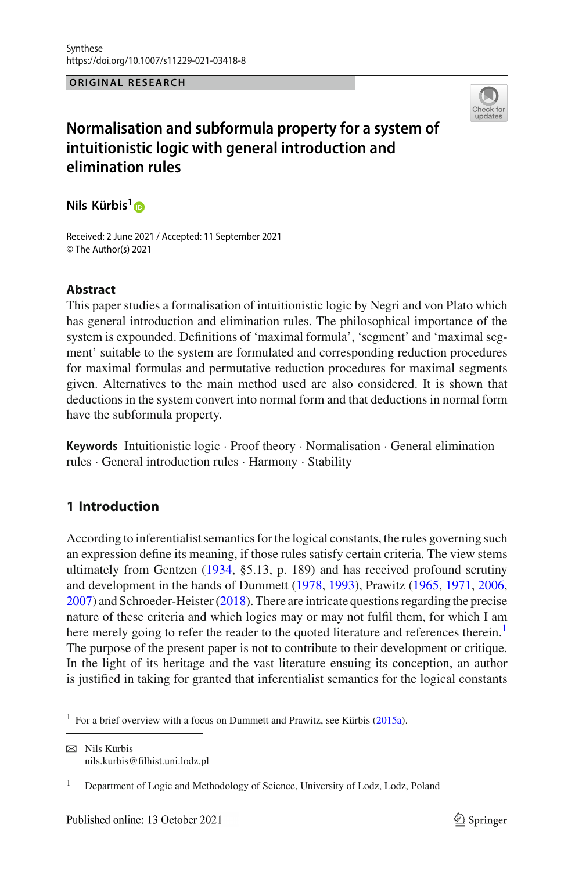### **ORIGINAL RESEARCH**



# **Normalisation and subformula property for a system of intuitionistic logic with general introduction and elimination rules**

**Nils Kürbis[1](http://orcid.org/0000-0002-3651-5458)**

Received: 2 June 2021 / Accepted: 11 September 2021 © The Author(s) 2021

# **Abstract**

This paper studies a formalisation of intuitionistic logic by Negri and von Plato which has general introduction and elimination rules. The philosophical importance of the system is expounded. Definitions of 'maximal formula', 'segment' and 'maximal segment' suitable to the system are formulated and corresponding reduction procedures for maximal formulas and permutative reduction procedures for maximal segments given. Alternatives to the main method used are also considered. It is shown that deductions in the system convert into normal form and that deductions in normal form have the subformula property.

**Keywords** Intuitionistic logic · Proof theory · Normalisation · General elimination rules · General introduction rules · Harmony · Stability

# **1 Introduction**

According to inferentialist semantics for the logical constants, the rules governing such an expression define its meaning, if those rules satisfy certain criteria. The view stems ultimately from Gentzen [\(1934](#page-24-0), §5.13, p. 189) and has received profound scrutiny and development in the hands of Dummett [\(1978](#page-24-1), [1993](#page-24-2)), Prawitz [\(1965,](#page-24-3) [1971,](#page-24-4) [2006,](#page-24-5) [2007\)](#page-24-6) and Schroeder-Heister [\(2018](#page-24-7)). There are intricate questions regarding the precise nature of these criteria and which logics may or may not fulfil them, for which I am here merely going to refer the reader to the quoted literature and references therein.<sup>1</sup> The purpose of the present paper is not to contribute to their development or critique. In the light of its heritage and the vast literature ensuing its conception, an author is justified in taking for granted that inferentialist semantics for the logical constants

 $\boxtimes$  Nils Kürbis nils.kurbis@filhist.uni.lodz.pl

<sup>&</sup>lt;[s](#page-24-8)up>1</sup> For a brief overview with a focus on Dummett and Prawitz, see Kürbis [\(2015a](#page-24-8)).

<sup>&</sup>lt;sup>1</sup> Department of Logic and Methodology of Science, University of Lodz, Lodz, Poland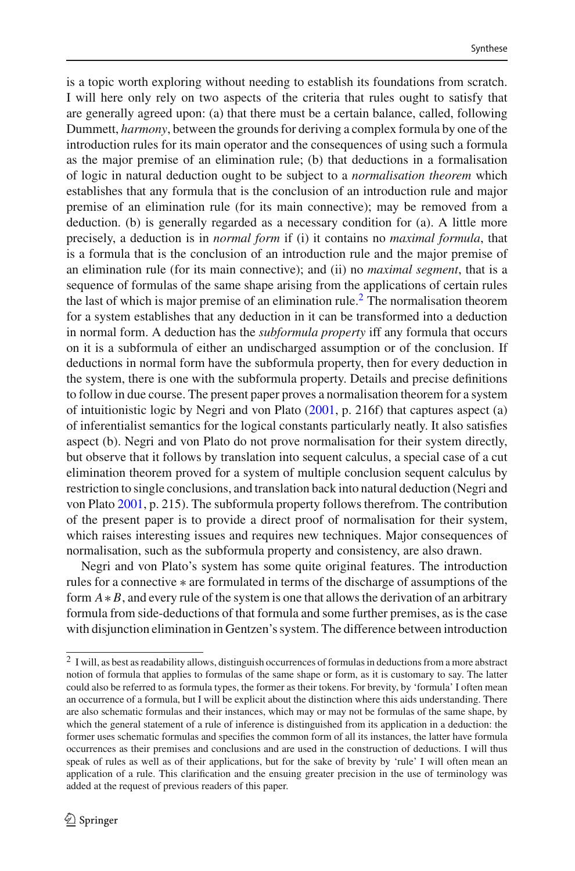is a topic worth exploring without needing to establish its foundations from scratch. I will here only rely on two aspects of the criteria that rules ought to satisfy that are generally agreed upon: (a) that there must be a certain balance, called, following Dummett, *harmony*, between the grounds for deriving a complex formula by one of the introduction rules for its main operator and the consequences of using such a formula as the major premise of an elimination rule; (b) that deductions in a formalisation of logic in natural deduction ought to be subject to a *normalisation theorem* which establishes that any formula that is the conclusion of an introduction rule and major premise of an elimination rule (for its main connective); may be removed from a deduction. (b) is generally regarded as a necessary condition for (a). A little more precisely, a deduction is in *normal form* if (i) it contains no *maximal formula*, that is a formula that is the conclusion of an introduction rule and the major premise of an elimination rule (for its main connective); and (ii) no *maximal segment*, that is a sequence of formulas of the same shape arising from the applications of certain rules the last of which is major premise of an elimination rule.<sup>[2](#page-1-0)</sup> The normalisation theorem for a system establishes that any deduction in it can be transformed into a deduction in normal form. A deduction has the *subformula property* iff any formula that occurs on it is a subformula of either an undischarged assumption or of the conclusion. If deductions in normal form have the subformula property, then for every deduction in the system, there is one with the subformula property. Details and precise definitions to follow in due course. The present paper proves a normalisation theorem for a system of intuitionistic logic by Negri and von Plato [\(2001](#page-24-9), p. 216f) that captures aspect (a) of inferentialist semantics for the logical constants particularly neatly. It also satisfies aspect (b). Negri and von Plato do not prove normalisation for their system directly, but observe that it follows by translation into sequent calculus, a special case of a cut elimination theorem proved for a system of multiple conclusion sequent calculus by restriction to single conclusions, and translation back into natural deduction (Negri and von Plat[o](#page-24-9) [2001,](#page-24-9) p. 215). The subformula property follows therefrom. The contribution of the present paper is to provide a direct proof of normalisation for their system, which raises interesting issues and requires new techniques. Major consequences of normalisation, such as the subformula property and consistency, are also drawn.

Negri and von Plato's system has some quite original features. The introduction rules for a connective ∗ are formulated in terms of the discharge of assumptions of the form *A*∗ *B*, and every rule of the system is one that allows the derivation of an arbitrary formula from side-deductions of that formula and some further premises, as is the case with disjunction elimination in Gentzen's system. The difference between introduction

<span id="page-1-0"></span><sup>&</sup>lt;sup>2</sup> I will, as best as readability allows, distinguish occurrences of formulas in deductions from a more abstract notion of formula that applies to formulas of the same shape or form, as it is customary to say. The latter could also be referred to as formula types, the former as their tokens. For brevity, by 'formula' I often mean an occurrence of a formula, but I will be explicit about the distinction where this aids understanding. There are also schematic formulas and their instances, which may or may not be formulas of the same shape, by which the general statement of a rule of inference is distinguished from its application in a deduction: the former uses schematic formulas and specifies the common form of all its instances, the latter have formula occurrences as their premises and conclusions and are used in the construction of deductions. I will thus speak of rules as well as of their applications, but for the sake of brevity by 'rule' I will often mean an application of a rule. This clarification and the ensuing greater precision in the use of terminology was added at the request of previous readers of this paper.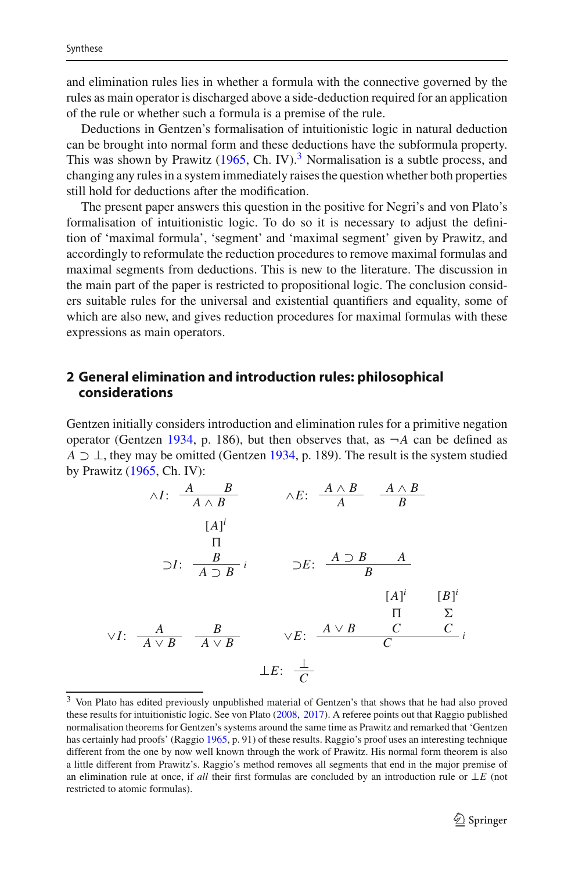and elimination rules lies in whether a formula with the connective governed by the rules as main operator is discharged above a side-deduction required for an application of the rule or whether such a formula is a premise of the rule.

Deductions in Gentzen's formalisation of intuitionistic logic in natural deduction can be brought into normal form and these deductions have the subformula property. This was shown by Prawitz  $(1965, Ch. IV).$  $(1965, Ch. IV).$ <sup>[3](#page-2-0)</sup> Normalisation is a subtle process, and changing any rules in a system immediately raises the question whether both properties still hold for deductions after the modification.

The present paper answers this question in the positive for Negri's and von Plato's formalisation of intuitionistic logic. To do so it is necessary to adjust the definition of 'maximal formula', 'segment' and 'maximal segment' given by Prawitz, and accordingly to reformulate the reduction procedures to remove maximal formulas and maximal segments from deductions. This is new to the literature. The discussion in the main part of the paper is restricted to propositional logic. The conclusion considers suitable rules for the universal and existential quantifiers and equality, some of which are also new, and gives reduction procedures for maximal formulas with these expressions as main operators.

# <span id="page-2-1"></span>**2 General elimination and introduction rules: philosophical considerations**

Gentzen initially considers introduction and elimination rules for a primitive negation operator (Ge[n](#page-24-0)tzen [1934,](#page-24-0) p. 186), but then observes that, as  $\neg A$  can be defined as *A*  $\supset$   $\perp$ , they may be omitted (Ge[n](#page-24-0)tzen [1934,](#page-24-0) p. 189). The result is the system studied by Prawitz [\(1965](#page-24-3), Ch. IV):

$$
\wedge I: \frac{A \quad B}{A \land B} \qquad \wedge E: \frac{A \land B}{A} \quad \frac{A \land B}{B}
$$
\n
$$
[A]^i
$$
\n
$$
\Box I: \frac{B}{A \supset B} i \qquad \Box E: \frac{A \supset B}{B} \qquad [A]^i \qquad [B]^i
$$
\n
$$
\vee I: \frac{A}{A \lor B} \quad \frac{B}{A \lor B} \qquad \vee E: \frac{A \lor B}{C} \quad \frac{C}{C} i
$$
\n
$$
\perp E: \frac{1}{C}
$$

<span id="page-2-0"></span><sup>&</sup>lt;sup>3</sup> Von Plato has edited previously unpublished material of Gentzen's that shows that he had also proved these results for intuitionistic logic. See von Plat[o](#page-24-10) [\(2008](#page-24-10), [2017](#page-24-11)). A referee points out that Raggio published normalisation theorems for Gentzen's systems around the same time as Prawitz and remarked that 'Gentzen has certainly had proofs' (Raggi[o](#page-24-12) [1965,](#page-24-12) p. 91) of these results. Raggio's proof uses an interesting technique different from the one by now well known through the work of Prawitz. His normal form theorem is also a little different from Prawitz's. Raggio's method removes all segments that end in the major premise of an elimination rule at once, if *all* their first formulas are concluded by an introduction rule or ⊥*E* (not restricted to atomic formulas).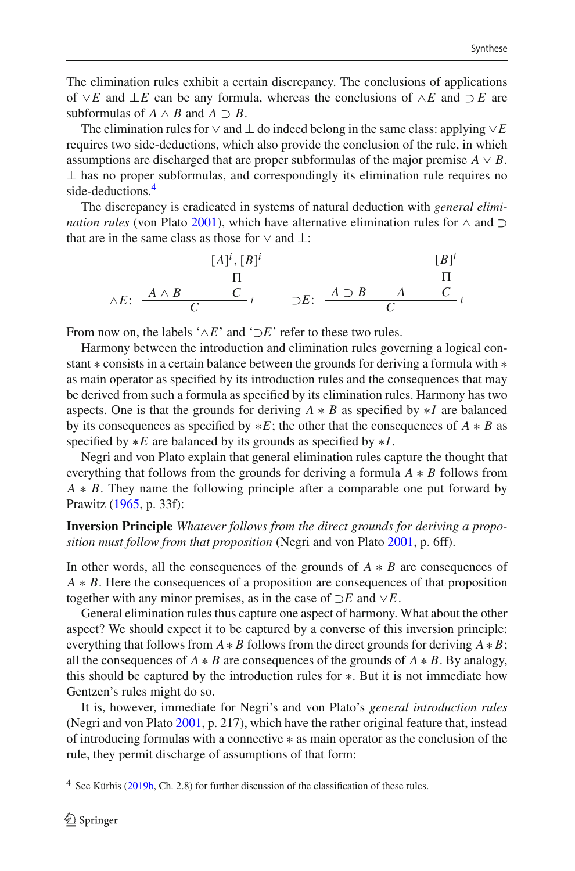The elimination rules exhibit a certain discrepancy. The conclusions of applications of ∨*E* and ⊥*E* can be any formula, whereas the conclusions of ∧*E* and ⊃ *E* are subformulas of  $A \wedge B$  and  $A \supset B$ .

The elimination rules for  $\vee$  and  $\perp$  do indeed belong in the same class: applying  $\vee E$ requires two side-deductions, which also provide the conclusion of the rule, in which assumptions are discharged that are proper subformulas of the major premise  $A \vee B$ .  $\perp$  has no proper subformulas, and correspondingly its elimination rule requires no side-deductions.<sup>4</sup>

The discrepancy is eradicated in systems of natural deduction with *general elimination rules* (von Plat[o](#page-24-13) [2001](#page-24-13)), which have alternative elimination rules for ∧ and ⊃ that are in the same class as those for  $\vee$  and  $\vdots$ 

$$
[A]^i, [B]^i
$$
\n
$$
\wedge E: \begin{array}{ccc} & [A]^i, [B]^i & [B]^i \\ \Pi & & \Pi \\ C & & \end{array}
$$
\n
$$
\wedge E: \begin{array}{ccc} A \wedge B & C \\ C & & \end{array}
$$
\n
$$
\wedge E: \begin{array}{ccc} A \wedge B & C \\ C & & \end{array}
$$

From now on, the labels ' $\wedge E$ ' and ' $\neg E$ ' refer to these two rules.

Harmony between the introduction and elimination rules governing a logical constant ∗ consists in a certain balance between the grounds for deriving a formula with ∗ as main operator as specified by its introduction rules and the consequences that may be derived from such a formula as specified by its elimination rules. Harmony has two aspects. One is that the grounds for deriving *A* ∗ *B* as specified by ∗*I* are balanced by its consequences as specified by ∗*E*; the other that the consequences of *A* ∗ *B* as specified by ∗*E* are balanced by its grounds as specified by ∗*I*.

Negri and von Plato explain that general elimination rules capture the thought that everything that follows from the grounds for deriving a formula *A* ∗ *B* follows from *A* ∗ *B*. They name the following principle after a comparable one put forward by Prawitz [\(1965,](#page-24-3) p. 33f):

### **Inversion Principle** *Whatever follows from the direct grounds for deriving a proposition must follow from that proposition* (Negri and von Plat[o](#page-24-9) [2001](#page-24-9), p. 6ff).

In other words, all the consequences of the grounds of *A* ∗ *B* are consequences of *A* ∗ *B*. Here the consequences of a proposition are consequences of that proposition together with any minor premises, as in the case of ⊃*E* and ∨*E*.

General elimination rules thus capture one aspect of harmony. What about the other aspect? We should expect it to be captured by a converse of this inversion principle: everything that follows from  $A * B$  follows from the direct grounds for deriving  $A * B$ ; all the consequences of  $A * B$  are consequences of the grounds of  $A * B$ . By analogy, this should be captured by the introduction rules for ∗. But it is not immediate how Gentzen's rules might do so.

It is, however, immediate for Negri's and von Plato's *general introduction rules* (Negri and von Plat[o](#page-24-9) [2001](#page-24-9), p. 217), which have the rather original feature that, instead of introducing formulas with a connective ∗ as main operator as the conclusion of the rule, they permit discharge of assumptions of that form:

<span id="page-3-0"></span><sup>4</sup> See Kürbis [\(2019b,](#page-24-14) Ch. 2.8) for further discussion of the classification of these rules.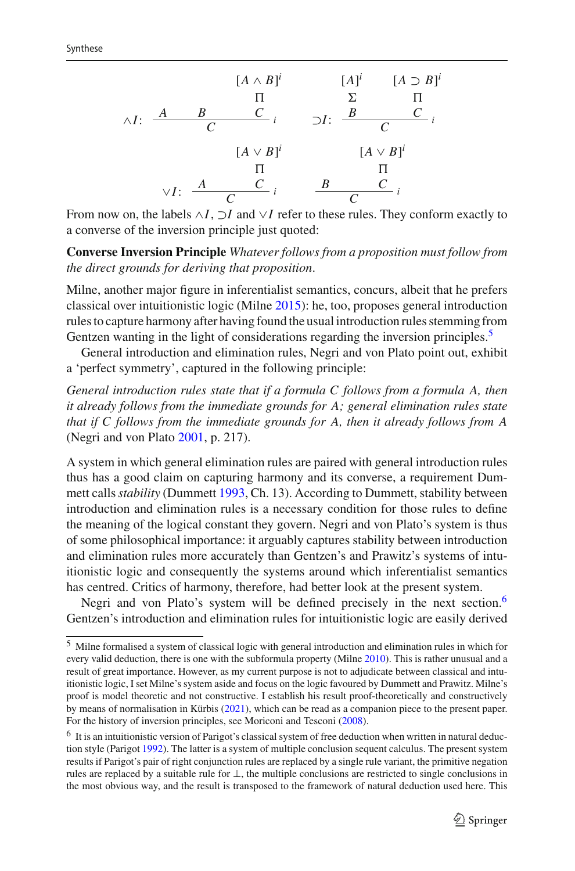

From now on, the labels ∧*I*, ⊃*I* and ∨*I* refer to these rules. They conform exactly to a converse of the inversion principle just quoted:

**Converse Inversion Principle** *Whatever follows from a proposition must follow from the direct grounds for deriving that proposition*.

Milne, another major figure in inferentialist semantics, concurs, albeit that he prefers classical over intuitionistic logic (Miln[e](#page-24-15) [2015](#page-24-15)): he, too, proposes general introduction rules to capture harmony after having found the usual introduction rules stemming from Gentzen wanting in the light of considerations regarding the inversion principles.<sup>5</sup>

General introduction and elimination rules, Negri and von Plato point out, exhibit a 'perfect symmetry', captured in the following principle:

*General introduction rules state that if a formula C follows from a formula A, then it already follows from the immediate grounds for A; general elimination rules state that if C follows from the immediate grounds for A, then it already follows from A* (Negri and von Plat[o](#page-24-9) [2001](#page-24-9), p. 217).

A system in which general elimination rules are paired with general introduction rules thus has a good claim on capturing harmony and its converse, a requirement Dummett calls*stability* (Dummet[t](#page-24-2) [1993](#page-24-2), Ch. 13). According to Dummett, stability between introduction and elimination rules is a necessary condition for those rules to define the meaning of the logical constant they govern. Negri and von Plato's system is thus of some philosophical importance: it arguably captures stability between introduction and elimination rules more accurately than Gentzen's and Prawitz's systems of intuitionistic logic and consequently the systems around which inferentialist semantics has centred. Critics of harmony, therefore, had better look at the present system.

Negri and von Plato's system will be defined precisely in the next section.<sup>6</sup> Gentzen's introduction and elimination rules for intuitionistic logic are easily derived

<span id="page-4-0"></span><sup>5</sup> Milne formalised a system of classical logic with general introduction and elimination rules in which for [e](#page-24-16)very valid deduction, there is one with the subformula property (Milne [2010\)](#page-24-16). This is rather unusual and a result of great importance. However, as my current purpose is not to adjudicate between classical and intuitionistic logic, I set Milne's system aside and focus on the logic favoured by Dummett and Prawitz. Milne's proof is model theoretic and not constructive. I establish his result proof-theoretically and constructively by means of normalisation in Kürbi[s](#page-24-17) [\(2021\)](#page-24-17), which can be read as a companion piece to the present paper. For the history of inversion principles, see Moriconi and Tescon[i](#page-24-18) [\(2008](#page-24-18)).

<span id="page-4-1"></span> $6\,$  It is an intuitionistic version of Parigot's classical system of free deduction when written in natural deduction style (Parigo[t](#page-24-19) [1992\)](#page-24-19). The latter is a system of multiple conclusion sequent calculus. The present system results if Parigot's pair of right conjunction rules are replaced by a single rule variant, the primitive negation rules are replaced by a suitable rule for ⊥, the multiple conclusions are restricted to single conclusions in the most obvious way, and the result is transposed to the framework of natural deduction used here. This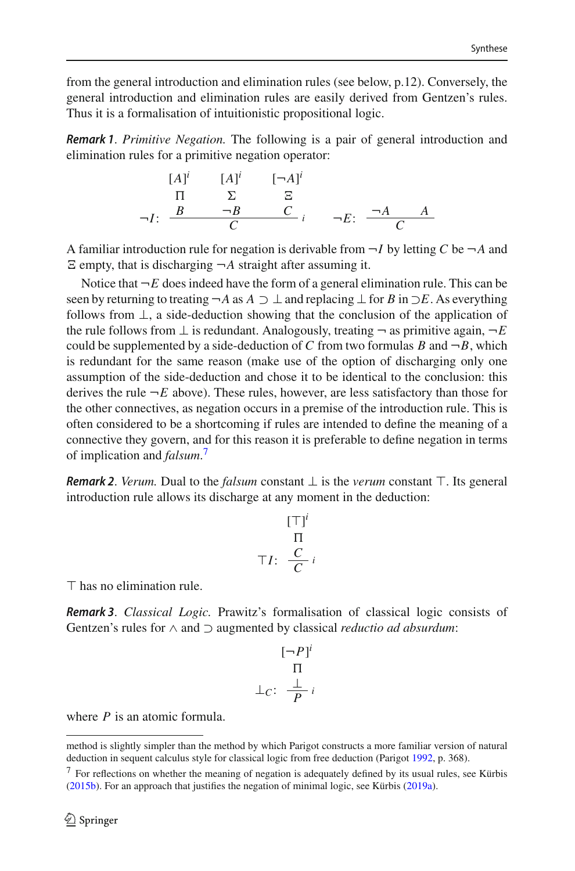from the general introduction and elimination rules (see below, p.12). Conversely, the general introduction and elimination rules are easily derived from Gentzen's rules. Thus it is a formalisation of intuitionistic propositional logic.

*Remark 1*. *Primitive Negation.* The following is a pair of general introduction and elimination rules for a primitive negation operator:

$$
\begin{array}{ccc}\n[A]^i & [A]^i & [-A]^i \\
\hline\n\P & \Sigma & \Xi \\
\neg I: & \frac{B & \neg B & C}{C} \\
\hline\n\end{array}
$$
\n
$$
\begin{array}{ccc}\n\Box A^i & \Box A \\
\hline\n\end{array}
$$

A familiar introduction rule for negation is derivable from  $\neg I$  by letting C be  $\neg A$  and  $\Xi$  empty, that is discharging  $\neg A$  straight after assuming it.

Notice that  $\neg E$  does indeed have the form of a general elimination rule. This can be seen by returning to treating  $\neg A$  as  $A \supset \bot$  and replacing  $\bot$  for *B* in  $\supset E$ . As everything follows from ⊥, a side-deduction showing that the conclusion of the application of the rule follows from  $\perp$  is redundant. Analogously, treating  $\neg$  as primitive again,  $\neg E$ could be supplemented by a side-deduction of *C* from two formulas *B* and  $\neg B$ , which is redundant for the same reason (make use of the option of discharging only one assumption of the side-deduction and chose it to be identical to the conclusion: this derives the rule  $\neg E$  above). These rules, however, are less satisfactory than those for the other connectives, as negation occurs in a premise of the introduction rule. This is often considered to be a shortcoming if rules are intended to define the meaning of a connective they govern, and for this reason it is preferable to define negation in terms of implication and *falsum*. [7](#page-5-0)

*Remark 2. Verum.* Dual to the *falsum* constant  $\perp$  is the *verum* constant  $\top$ . Its general introduction rule allows its discharge at any moment in the deduction:

$$
\begin{array}{c}\n[\top]^i \\
\qquad \Pi \\
\top I: \ \frac{C}{C}i\n\end{array}
$$

 $\top$  has no elimination rule.

*Remark 3*. *Classical Logic.* Prawitz's formalisation of classical logic consists of Gentzen's rules for ∧ and ⊃ augmented by classical *reductio ad absurdum*:

$$
\begin{array}{c}\n[-P]^i \\
\qquad \Pi \\
\perp_c: \frac{\perp}{P}i\n\end{array}
$$

where *P* is an atomic formula.

method is slightly simpler than the method by which Parigot constructs a more familiar version of natural deduction in sequent calculus style for classical logic from free deduction (Parigo[t](#page-24-19) [1992,](#page-24-19) p. 368).

<span id="page-5-0"></span> $7$  For reflection[s](#page-24-20) on whether the meaning of negation is adequately defined by its usual rules, see Kürbis [\(2015b](#page-24-20)). For an approach that justifies the negation of minimal logic, see Kürbi[s](#page-24-21) [\(2019a](#page-24-21)).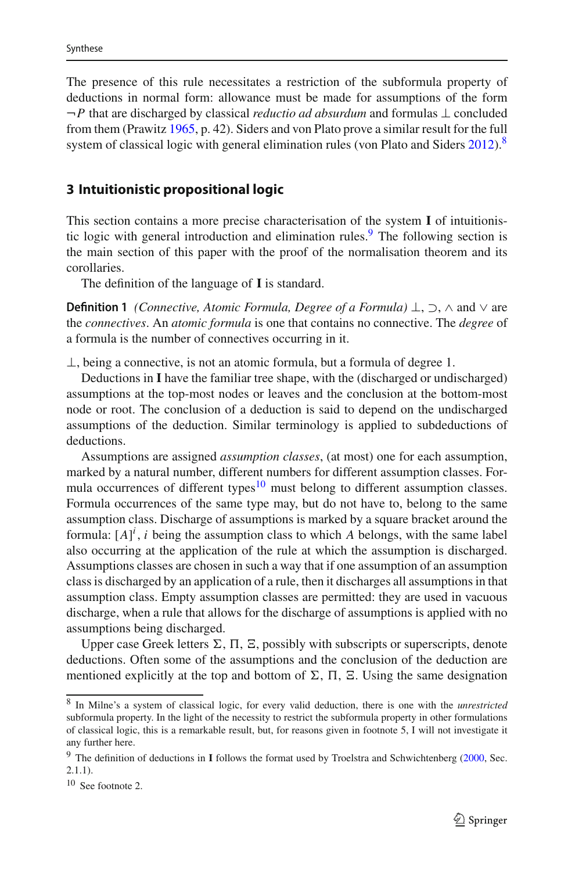The presence of this rule necessitates a restriction of the subformula property of deductions in normal form: allowance must be made for assumptions of the form ¬*P* that are discharged by classical *reductio ad absurdum* and formulas ⊥ concluded from them (Prawit[z](#page-24-3) [1965](#page-24-3), p. 42). Siders and von Plato prove a similar result for the full [s](#page-25-0)ystem of classical logic with general elimination rules (von Plato and Siders  $2012$ ).<sup>[8](#page-6-0)</sup>

### **3 Intuitionistic propositional logic**

This section contains a more precise characterisation of the system **I** of intuitionis-tic logic with general introduction and elimination rules.<sup>[9](#page-6-1)</sup> The following section is the main section of this paper with the proof of the normalisation theorem and its corollaries.

The definition of the language of **I** is standard.

**Definition 1** *(Connective, Atomic Formula, Degree of a Formula)* ⊥, ⊃, ∧ and ∨ are the *connectives*. An *atomic formula* is one that contains no connective. The *degree* of a formula is the number of connectives occurring in it.

⊥, being a connective, is not an atomic formula, but a formula of degree 1.

Deductions in **I** have the familiar tree shape, with the (discharged or undischarged) assumptions at the top-most nodes or leaves and the conclusion at the bottom-most node or root. The conclusion of a deduction is said to depend on the undischarged assumptions of the deduction. Similar terminology is applied to subdeductions of deductions.

Assumptions are assigned *assumption classes*, (at most) one for each assumption, marked by a natural number, different numbers for different assumption classes. Formula occurrences of different types $10$  must belong to different assumption classes. Formula occurrences of the same type may, but do not have to, belong to the same assumption class. Discharge of assumptions is marked by a square bracket around the formula:  $[A]^i$ , *i* being the assumption class to which *A* belongs, with the same label also occurring at the application of the rule at which the assumption is discharged. Assumptions classes are chosen in such a way that if one assumption of an assumption class is discharged by an application of a rule, then it discharges all assumptions in that assumption class. Empty assumption classes are permitted: they are used in vacuous discharge, when a rule that allows for the discharge of assumptions is applied with no assumptions being discharged.

Upper case Greek letters  $\Sigma$ ,  $\Pi$ ,  $\Xi$ , possibly with subscripts or superscripts, denote deductions. Often some of the assumptions and the conclusion of the deduction are mentioned explicitly at the top and bottom of  $\Sigma$ ,  $\Pi$ ,  $\Sigma$ . Using the same designation

<span id="page-6-0"></span><sup>8</sup> In Milne's a system of classical logic, for every valid deduction, there is one with the *unrestricted* subformula property. In the light of the necessity to restrict the subformula property in other formulations of classical logic, this is a remarkable result, but, for reasons given in footnote 5, I will not investigate it any further here.

<span id="page-6-1"></span><sup>&</sup>lt;sup>9</sup> The definition of deductions in **I** follows the format used by Troelstra and Schwichtenberg [\(2000](#page-24-22), Sec. 2.1.1).

<span id="page-6-2"></span><sup>10</sup> See footnote 2.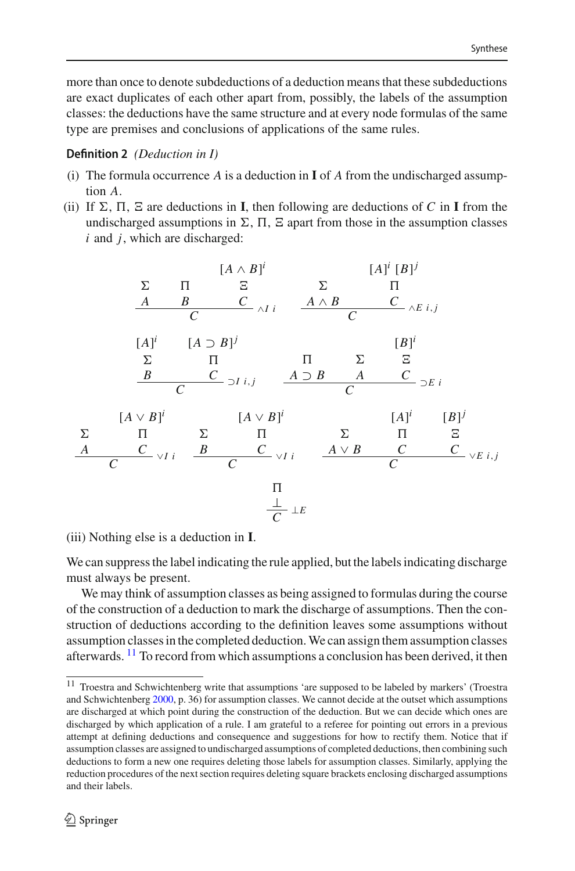more than once to denote subdeductions of a deduction means that these subdeductions are exact duplicates of each other apart from, possibly, the labels of the assumption classes: the deductions have the same structure and at every node formulas of the same type are premises and conclusions of applications of the same rules.

### <span id="page-7-1"></span>**Definition 2** *(Deduction in I)*

- (i) The formula occurrence *A* is a deduction in **I** of *A* from the undischarged assumption *A*.
- (ii) If  $\Sigma$ ,  $\Pi$ ,  $\Sigma$  are deductions in **I**, then following are deductions of *C* in **I** from the undischarged assumptions in  $\Sigma$ ,  $\Pi$ ,  $\Sigma$  apart from those in the assumption classes *i* and *j*, which are discharged:



(iii) Nothing else is a deduction in **I**.

We can suppress the label indicating the rule applied, but the labels indicating discharge must always be present.

We may think of assumption classes as being assigned to formulas during the course of the construction of a deduction to mark the discharge of assumptions. Then the construction of deductions according to the definition leaves some assumptions without assumption classes in the completed deduction.We can assign them assumption classes afterwards. [11](#page-7-0) To record from which assumptions a conclusion has been derived, it then

<span id="page-7-0"></span><sup>&</sup>lt;sup>11</sup> Troestra and Schwichtenberg write that assumptions 'are supposed to be labeled by markers' (Troestra and Schwichtenber[g](#page-24-22) [2000,](#page-24-22) p. 36) for assumption classes. We cannot decide at the outset which assumptions are discharged at which point during the construction of the deduction. But we can decide which ones are discharged by which application of a rule. I am grateful to a referee for pointing out errors in a previous attempt at defining deductions and consequence and suggestions for how to rectify them. Notice that if assumption classes are assigned to undischarged assumptions of completed deductions, then combining such deductions to form a new one requires deleting those labels for assumption classes. Similarly, applying the reduction procedures of the next section requires deleting square brackets enclosing discharged assumptions and their labels.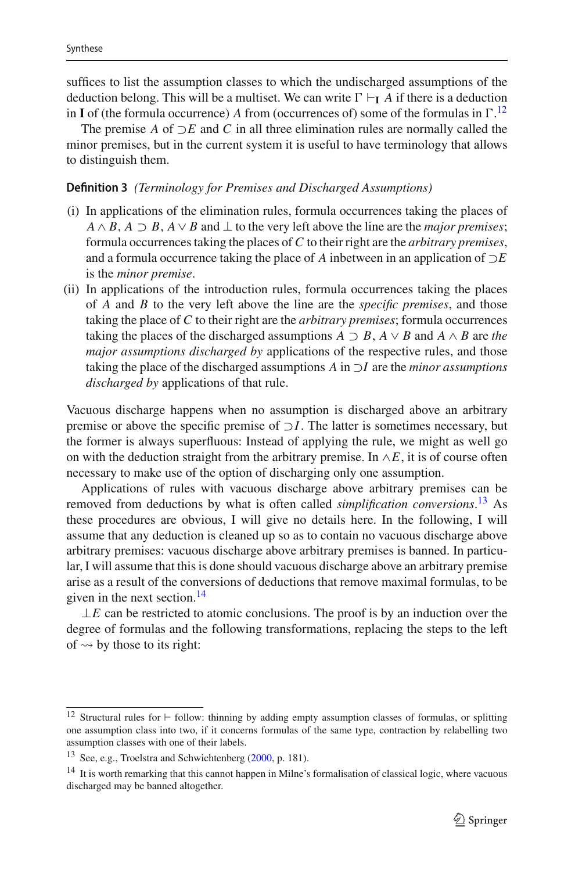suffices to list the assumption classes to which the undischarged assumptions of the deduction belong. This will be a multiset. We can write  $\Gamma \vdash_{\mathbf{I}} A$  if there is a deduction in **I** of (the formula occurrence) *A* from (occurrences of) some of the formulas in  $\Gamma$ .<sup>[12](#page-8-0)</sup>

The premise *A* of ⊃*E* and *C* in all three elimination rules are normally called the minor premises, but in the current system it is useful to have terminology that allows to distinguish them.

### **Definition 3** *(Terminology for Premises and Discharged Assumptions)*

- (i) In applications of the elimination rules, formula occurrences taking the places of  $A \wedge B$ ,  $A \supset B$ ,  $A \vee B$  and  $\perp$  to the very left above the line are the *major premises*; formula occurrences taking the places of *C* to their right are the *arbitrary premises*, and a formula occurrence taking the place of *A* inbetween in an application of ⊃*E* is the *minor premise*.
- (ii) In applications of the introduction rules, formula occurrences taking the places of *A* and *B* to the very left above the line are the *specific premises*, and those taking the place of *C* to their right are the *arbitrary premises*; formula occurrences taking the places of the discharged assumptions  $A \supset B$ ,  $A \vee B$  and  $A \wedge B$  are *the major assumptions discharged by* applications of the respective rules, and those taking the place of the discharged assumptions *A* in ⊃*I* are the *minor assumptions discharged by* applications of that rule.

Vacuous discharge happens when no assumption is discharged above an arbitrary premise or above the specific premise of ⊃*I*. The latter is sometimes necessary, but the former is always superfluous: Instead of applying the rule, we might as well go on with the deduction straight from the arbitrary premise. In  $\wedge E$ , it is of course often necessary to make use of the option of discharging only one assumption.

Applications of rules with vacuous discharge above arbitrary premises can be removed from deductions by what is often called *simplification conversions*. [13](#page-8-1) As these procedures are obvious, I will give no details here. In the following, I will assume that any deduction is cleaned up so as to contain no vacuous discharge above arbitrary premises: vacuous discharge above arbitrary premises is banned. In particular, I will assume that this is done should vacuous discharge above an arbitrary premise arise as a result of the conversions of deductions that remove maximal formulas, to be given in the next section.<sup>[14](#page-8-2)</sup>

 $\perp E$  can be restricted to atomic conclusions. The proof is by an induction over the degree of formulas and the following transformations, replacing the steps to the left of  $\rightsquigarrow$  by those to its right:

<span id="page-8-0"></span><sup>&</sup>lt;sup>12</sup> Structural rules for  $\vdash$  follow: thinning by adding empty assumption classes of formulas, or splitting one assumption class into two, if it concerns formulas of the same type, contraction by relabelling two assumption classes with one of their labels.

<span id="page-8-1"></span><sup>13</sup> See, e.g., Troelstra and Schwichtenberg [\(2000,](#page-24-22) p. 181).

<span id="page-8-2"></span><sup>&</sup>lt;sup>14</sup> It is worth remarking that this cannot happen in Milne's formalisation of classical logic, where vacuous discharged may be banned altogether.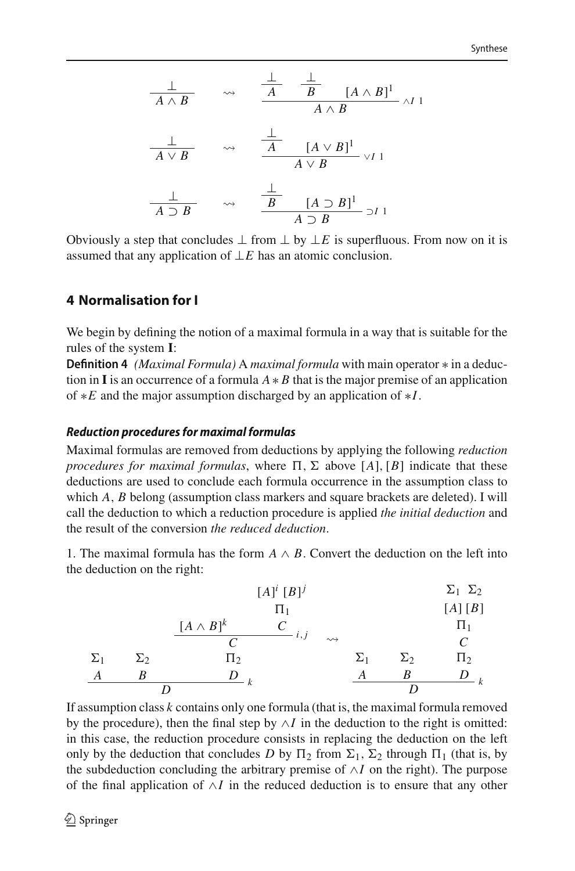$$
\frac{\bot}{A \land B} \qquad \leadsto \qquad \frac{\frac{\bot}{A} \quad \frac{\bot}{B} \quad [A \land B]^1}{A \land B} \land I1
$$
\n
$$
\frac{\bot}{A \lor B} \qquad \leadsto \qquad \frac{\frac{\bot}{A} \quad [A \lor B]^1}{A \lor B} \lor I1
$$
\n
$$
\frac{\bot}{A \supset B} \qquad \leadsto \qquad \frac{\frac{\bot}{B} \quad [A \supset B]^1}{A \supset B} \lor I1
$$

Obviously a step that concludes  $\perp$  from  $\perp$  by  $\perp E$  is superfluous. From now on it is assumed that any application of ⊥*E* has an atomic conclusion.

# **4 Normalisation for I**

We begin by defining the notion of a maximal formula in a way that is suitable for the rules of the system **I**:

**Definition 4** *(Maximal Formula)* A *maximal formula* with main operator ∗ in a deduction in **I** is an occurrence of a formula  $A * B$  that is the major premise of an application of ∗*E* and the major assumption discharged by an application of ∗*I*.

### *Reduction procedures for maximal formulas*

Maximal formulas are removed from deductions by applying the following *reduction procedures for maximal formulas*, where  $\Pi$ ,  $\Sigma$  above [*A*], [*B*] indicate that these deductions are used to conclude each formula occurrence in the assumption class to which *A*, *B* belong (assumption class markers and square brackets are deleted). I will call the deduction to which a reduction procedure is applied *the initial deduction* and the result of the conversion *the reduced deduction*.

1. The maximal formula has the form  $A \wedge B$ . Convert the deduction on the left into the deduction on the right:

|            |            |                  | $[A]^i [B]^j$ |                    |            |            | $\Sigma_1$ $\Sigma_2$ |
|------------|------------|------------------|---------------|--------------------|------------|------------|-----------------------|
|            |            |                  | $\Pi_1$       |                    |            |            | [A][B]                |
|            |            | $[A \wedge B]^k$ |               |                    |            |            | $\Pi_1$               |
|            |            |                  | i, j          | $\rightsquigarrow$ |            |            | C                     |
| $\Sigma_1$ | $\Sigma_2$ | $\Pi_2$          |               |                    | $\Sigma_1$ | $\Sigma_2$ | $\Pi_2$               |
|            | B          | k                |               |                    | А          | В          |                       |
|            |            |                  |               |                    |            |            |                       |

If assumption class *k* contains only one formula (that is, the maximal formula removed by the procedure), then the final step by  $\land$ *I* in the deduction to the right is omitted: in this case, the reduction procedure consists in replacing the deduction on the left only by the deduction that concludes D by  $\Pi_2$  from  $\Sigma_1$ ,  $\Sigma_2$  through  $\Pi_1$  (that is, by the subdeduction concluding the arbitrary premise of ∧*I* on the right). The purpose of the final application of ∧*I* in the reduced deduction is to ensure that any other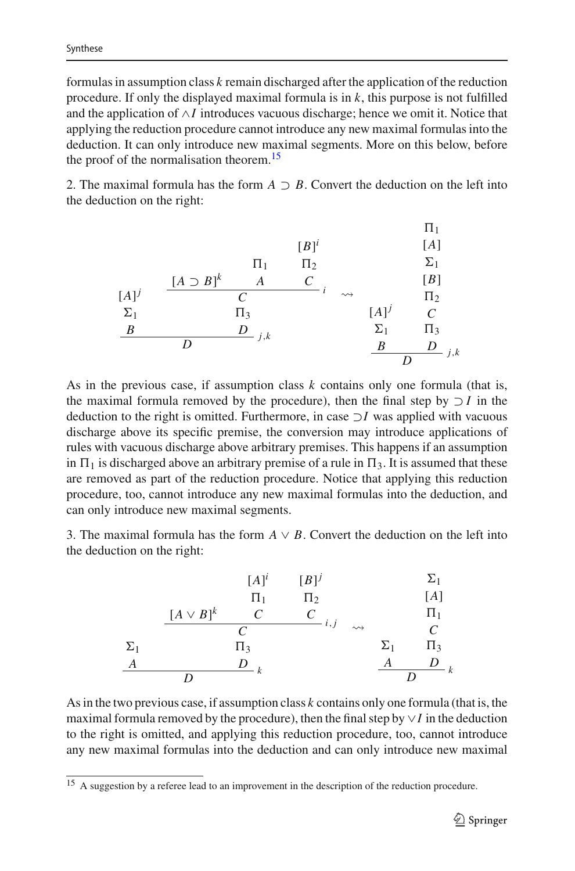formulas in assumption class *k* remain discharged after the application of the reduction procedure. If only the displayed maximal formula is in *k*, this purpose is not fulfilled and the application of ∧*I* introduces vacuous discharge; hence we omit it. Notice that applying the reduction procedure cannot introduce any new maximal formulas into the deduction. It can only introduce new maximal segments. More on this below, before the proof of the normalisation theorem.<sup>15</sup>

2. The maximal formula has the form  $A \supset B$ . Convert the deduction on the left into the deduction on the right:

| $\Pi_1$         | $[\Pi_j]$                   | $[\Pi_1]$  |            |         |
|-----------------|-----------------------------|------------|------------|---------|
| $[\Pi_1$        | $\Pi_2$                     | $\Sigma_1$ |            |         |
| $[\Pi_j]$       | $\frac{[A \supset B]^k}{C}$ | $A$        | $C$        |         |
| $\Sigma_1$      | $\Pi_3$                     | $[\Pi_j]$  | $C$        |         |
| $\underline{B}$ | $\underline{D}$             | $j,k$      | $\Sigma_1$ | $\Pi_3$ |
| $\underline{B}$ | $\underline{D}$             | $j,k$      | $\Sigma_1$ | $\Pi_3$ |

As in the previous case, if assumption class *k* contains only one formula (that is, the maximal formula removed by the procedure), then the final step by ⊃ *I* in the deduction to the right is omitted. Furthermore, in case ⊃*I* was applied with vacuous discharge above its specific premise, the conversion may introduce applications of rules with vacuous discharge above arbitrary premises. This happens if an assumption in  $\Pi_1$  is discharged above an arbitrary premise of a rule in  $\Pi_3$ . It is assumed that these are removed as part of the reduction procedure. Notice that applying this reduction procedure, too, cannot introduce any new maximal formulas into the deduction, and can only introduce new maximal segments.

3. The maximal formula has the form  $A \vee B$ . Convert the deduction on the left into the deduction on the right:

| $[A]^i$                    | $[B]^j$         | $\Sigma_1$      |                 |                 |
|----------------------------|-----------------|-----------------|-----------------|-----------------|
| $\Pi_1$                    | $\Pi_2$         | $[A]$           |                 |                 |
| $\underline{[A \vee B]^k}$ | $\underline{C}$ | $\underline{C}$ | $\Pi_1$         |                 |
| $\Sigma_1$                 | $\Pi_3$         | $\Sigma_1$      | $\Pi_3$         |                 |
| $\underline{A}$            | $\underline{D}$ | $\underline{R}$ | $\underline{A}$ | $\underline{D}$ |

As in the two previous case, if assumption class *k* contains only one formula (that is, the maximal formula removed by the procedure), then the final step by ∨*I* in the deduction to the right is omitted, and applying this reduction procedure, too, cannot introduce any new maximal formulas into the deduction and can only introduce new maximal

<span id="page-10-0"></span><sup>&</sup>lt;sup>15</sup> A suggestion by a referee lead to an improvement in the description of the reduction procedure.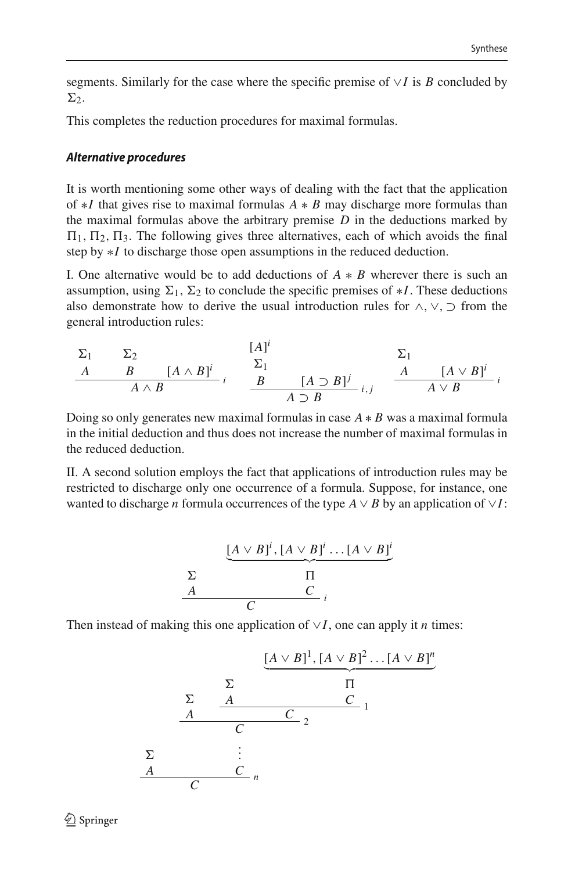segments. Similarly for the case where the specific premise of ∨*I* is *B* concluded by  $\Sigma$ .

This completes the reduction procedures for maximal formulas.

### *Alternative procedures*

It is worth mentioning some other ways of dealing with the fact that the application of ∗*I* that gives rise to maximal formulas *A* ∗ *B* may discharge more formulas than the maximal formulas above the arbitrary premise *D* in the deductions marked by  $\Pi_1$ ,  $\Pi_2$ ,  $\Pi_3$ . The following gives three alternatives, each of which avoids the final step by ∗*I* to discharge those open assumptions in the reduced deduction.

I. One alternative would be to add deductions of  $A * B$  wherever there is such an assumption, using  $\Sigma_1$ ,  $\Sigma_2$  to conclude the specific premises of  $\ast I$ . These deductions also demonstrate how to derive the usual introduction rules for  $\land$ ,  $\lor$ ,  $\supset$  from the general introduction rules:

$$
\Sigma_1 \qquad \Sigma_2 \qquad [A]^i \qquad \Sigma_1
$$
\n
$$
\begin{array}{c|ccccc}\nA & B & [A \wedge B]^i & \Sigma_1 & \Sigma_1 \\
\hline\nA & B & & B & [A \supset B]^j & \\
\hline\n& A \supset B & & & A \supset B\n\end{array}
$$

Doing so only generates new maximal formulas in case *A* ∗ *B* was a maximal formula in the initial deduction and thus does not increase the number of maximal formulas in the reduced deduction.

II. A second solution employs the fact that applications of introduction rules may be restricted to discharge only one occurrence of a formula. Suppose, for instance, one wanted to discharge *n* formula occurrences of the type  $A \vee B$  by an application of  $\vee I$ :

$$
\begin{array}{c}\n\sum \text{A} \vee B]^i, [A \vee B]^i \dots [A \vee B]^i \\
\sum \text{I} \qquad \qquad \text{T} \\
\hline\nC \qquad \qquad \downarrow \\
\end{array}
$$

Then instead of making this one application of ∨*I*, one can apply it *n* times:

$$
\underbrace{[A \vee B]^1, [A \vee B]^2 \dots [A \vee B]^n}_{C} \xrightarrow[\text{A}]{\Sigma} \underbrace{\frac{\Sigma}{A} \qquad \frac{\Pi}{C}}_{C \qquad 1}
$$
\n
$$
\underbrace{\Sigma}_{A} \qquad \underbrace{\vdots}_{C} \qquad n
$$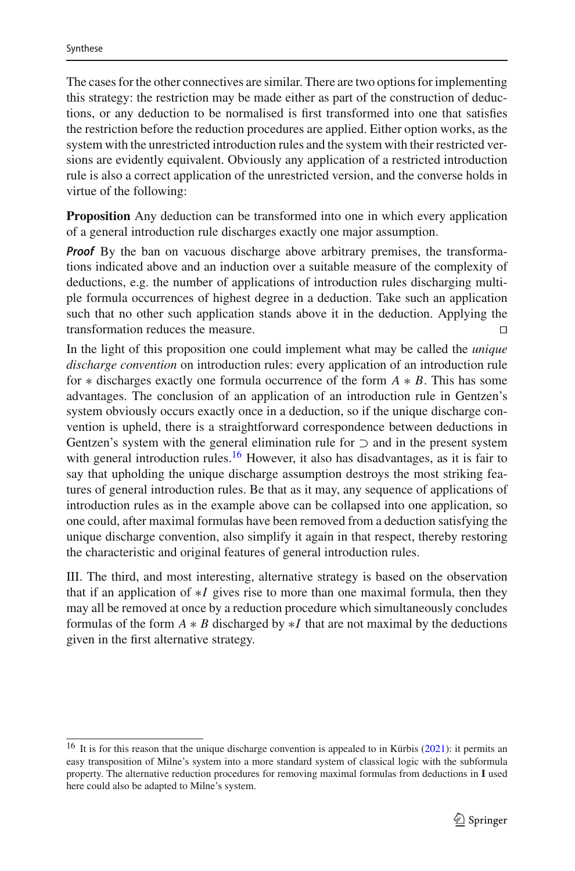The cases for the other connectives are similar. There are two options for implementing this strategy: the restriction may be made either as part of the construction of deductions, or any deduction to be normalised is first transformed into one that satisfies the restriction before the reduction procedures are applied. Either option works, as the system with the unrestricted introduction rules and the system with their restricted versions are evidently equivalent. Obviously any application of a restricted introduction rule is also a correct application of the unrestricted version, and the converse holds in virtue of the following:

**Proposition** Any deduction can be transformed into one in which every application of a general introduction rule discharges exactly one major assumption.

*Proof* By the ban on vacuous discharge above arbitrary premises, the transformations indicated above and an induction over a suitable measure of the complexity of deductions, e.g. the number of applications of introduction rules discharging multiple formula occurrences of highest degree in a deduction. Take such an application such that no other such application stands above it in the deduction. Applying the transformation reduces the measure. 

In the light of this proposition one could implement what may be called the *unique discharge convention* on introduction rules: every application of an introduction rule for ∗ discharges exactly one formula occurrence of the form *A* ∗ *B*. This has some advantages. The conclusion of an application of an introduction rule in Gentzen's system obviously occurs exactly once in a deduction, so if the unique discharge convention is upheld, there is a straightforward correspondence between deductions in Gentzen's system with the general elimination rule for  $\supset$  and in the present system with general introduction rules.<sup>16</sup> However, it also has disadvantages, as it is fair to say that upholding the unique discharge assumption destroys the most striking features of general introduction rules. Be that as it may, any sequence of applications of introduction rules as in the example above can be collapsed into one application, so one could, after maximal formulas have been removed from a deduction satisfying the unique discharge convention, also simplify it again in that respect, thereby restoring the characteristic and original features of general introduction rules.

III. The third, and most interesting, alternative strategy is based on the observation that if an application of ∗*I* gives rise to more than one maximal formula, then they may all be removed at once by a reduction procedure which simultaneously concludes formulas of the form  $A * B$  discharged by  $*I$  that are not maximal by the deductions given in the first alternative strategy.

<span id="page-12-0"></span><sup>&</sup>lt;[s](#page-24-17)up>16</sup> It is for this reason that the unique discharge convention is appealed to in Kürbis [\(2021\)](#page-24-17): it permits an easy transposition of Milne's system into a more standard system of classical logic with the subformula property. The alternative reduction procedures for removing maximal formulas from deductions in **I** used here could also be adapted to Milne's system.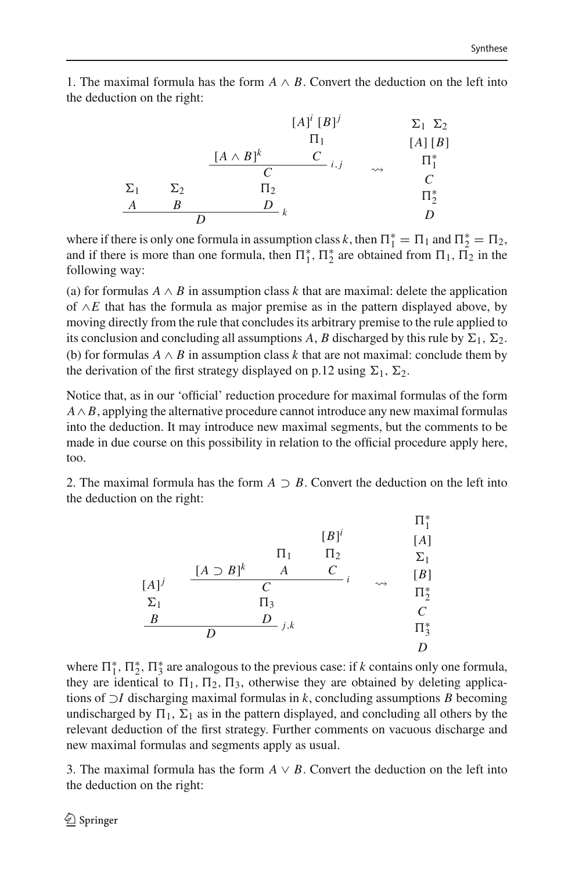1. The maximal formula has the form  $A \wedge B$ . Convert the deduction on the left into the deduction on the right:

|            |            |                             | $[A]^i [B]^j$ |                    | $\Sigma_1$ $\Sigma_2$ |
|------------|------------|-----------------------------|---------------|--------------------|-----------------------|
|            |            |                             | $\Pi_1$       |                    | [A][B]                |
|            |            | $[A \wedge B]^k$            | i, j          |                    | $\Pi^*_1$             |
|            |            | $\mathcal{C}_{\mathcal{C}}$ |               | $\rightsquigarrow$ | C                     |
| $\Sigma_1$ | $\Sigma_2$ | $\Pi_2$                     |               |                    | $\Pi^*_{2}$           |
| А          | R          | D                           |               |                    |                       |
|            |            |                             |               |                    | D                     |

where if there is only one formula in assumption class *k*, then  $\Pi_1^* = \Pi_1$  and  $\Pi_2^* = \Pi_2$ , and if there is more than one formula, then  $\Pi_1^*, \Pi_2^*$  are obtained from  $\Pi_1, \Pi_2$  in the following way:

(a) for formulas  $A \wedge B$  in assumption class k that are maximal: delete the application of ∧*E* that has the formula as major premise as in the pattern displayed above, by moving directly from the rule that concludes its arbitrary premise to the rule applied to its conclusion and concluding all assumptions *A*, *B* discharged by this rule by  $\Sigma_1$ ,  $\Sigma_2$ . (b) for formulas *A* ∧ *B* in assumption class *k* that are not maximal: conclude them by the derivation of the first strategy displayed on p.12 using  $\Sigma_1$ ,  $\Sigma_2$ .

Notice that, as in our 'official' reduction procedure for maximal formulas of the form *A*∧ *B*, applying the alternative procedure cannot introduce any new maximal formulas into the deduction. It may introduce new maximal segments, but the comments to be made in due course on this possibility in relation to the official procedure apply here, too.

2. The maximal formula has the form  $A \supset B$ . Convert the deduction on the left into the deduction on the right:

|                  |                   | $\Pi_1$       | $[B]^{i}$<br>$\Pi_2$  |                    | $\Pi^*_1$<br>[A]<br>$\Sigma_1$ |
|------------------|-------------------|---------------|-----------------------|--------------------|--------------------------------|
|                  | $[A \supset B]^k$ | Α             | $\mathcal{C}_{0}^{0}$ |                    | [B]                            |
| $[A]^{j}$        |                   | $\mathcal{C}$ |                       | $\rightsquigarrow$ | $\Pi^*_2$                      |
| $\Sigma_1$       |                   | $\Pi_3$       |                       |                    |                                |
| $\boldsymbol{B}$ |                   | D<br>j, k     |                       |                    | $\mathcal{C}_{\mathcal{C}}$    |
|                  | D                 |               |                       |                    | $\Pi^*_3$                      |
|                  |                   |               |                       |                    | D                              |

where  $\Pi_1^*$ ,  $\Pi_2^*$ ,  $\Pi_3^*$  are analogous to the previous case: if *k* contains only one formula, they are identical to  $\Pi_1$ ,  $\Pi_2$ ,  $\Pi_3$ , otherwise they are obtained by deleting applications of ⊃*I* discharging maximal formulas in *k*, concluding assumptions *B* becoming undischarged by  $\Pi_1$ ,  $\Sigma_1$  as in the pattern displayed, and concluding all others by the relevant deduction of the first strategy. Further comments on vacuous discharge and new maximal formulas and segments apply as usual.

3. The maximal formula has the form  $A \vee B$ . Convert the deduction on the left into the deduction on the right: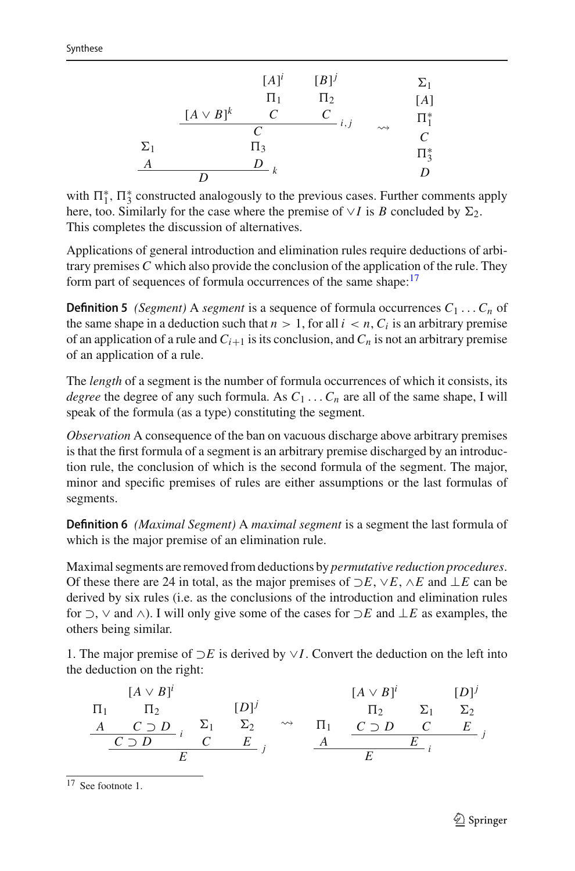|            |                | $[A]$ <sup>i</sup>    | $[B]^j$   |                    | $\Sigma_1$ |
|------------|----------------|-----------------------|-----------|--------------------|------------|
|            |                | $\Pi_1$               | $\Pi_2$   |                    | [A]        |
|            | $[A \vee B]^k$ | $\mathcal{C}_{0}^{0}$ | C<br>i, j |                    | $\Pi_1^*$  |
|            |                | C                     |           | $\rightsquigarrow$ | C          |
| $\Sigma_1$ |                | $\Pi_3$               |           |                    | $\Pi_3^*$  |
| А          |                | I)                    |           |                    |            |
|            | ח              | k                     |           |                    | D          |

with  $\Pi_1^*$ ,  $\Pi_3^*$  constructed analogously to the previous cases. Further comments apply here, too. Similarly for the case where the premise of  $\vee I$  is *B* concluded by  $\Sigma_2$ . This completes the discussion of alternatives.

Applications of general introduction and elimination rules require deductions of arbitrary premises *C* which also provide the conclusion of the application of the rule. They form part of sequences of formula occurrences of the same shape:<sup>17</sup>

**Definition 5** *(Segment)* A *segment* is a sequence of formula occurrences  $C_1 \ldots C_n$  of the same shape in a deduction such that  $n > 1$ , for all  $i < n$ ,  $C_i$  is an arbitrary premise of an application of a rule and  $C_{i+1}$  is its conclusion, and  $C_n$  is not an arbitrary premise of an application of a rule.

The *length* of a segment is the number of formula occurrences of which it consists, its *degree* the degree of any such formula. As  $C_1 \ldots C_n$  are all of the same shape, I will speak of the formula (as a type) constituting the segment.

*Observation* A consequence of the ban on vacuous discharge above arbitrary premises is that the first formula of a segment is an arbitrary premise discharged by an introduction rule, the conclusion of which is the second formula of the segment. The major, minor and specific premises of rules are either assumptions or the last formulas of segments.

**Definition 6** *(Maximal Segment)* A *maximal segment* is a segment the last formula of which is the major premise of an elimination rule.

Maximal segments are removed from deductions by *permutative reduction procedures*. Of these there are 24 in total, as the major premises of ⊃*E*, ∨*E*, ∧*E* and ⊥*E* can be derived by six rules (i.e. as the conclusions of the introduction and elimination rules for ⊃, ∨ and ∧). I will only give some of the cases for ⊃*E* and ⊥*E* as examples, the others being similar.

1. The major premise of ⊃*E* is derived by ∨*I*. Convert the deduction on the left into the deduction on the right:

-1 *A* [*A* ∨ *B*] *i* -2 *C* ⊃ *D <sup>i</sup> <sup>C</sup>* <sup>⊃</sup> *<sup>D</sup>* <sup>1</sup> *C* [*D*]*<sup>j</sup>* <sup>2</sup> *<sup>E</sup> <sup>j</sup> <sup>E</sup>* - -1 *A* [*A* ∨ *B*] *i* -2 *C* ⊃ *D* <sup>1</sup> *C* [*D*]*<sup>j</sup>* <sup>2</sup> *<sup>E</sup> <sup>j</sup> <sup>E</sup> <sup>i</sup> <sup>E</sup>*

<span id="page-14-0"></span><sup>17</sup> See footnote 1.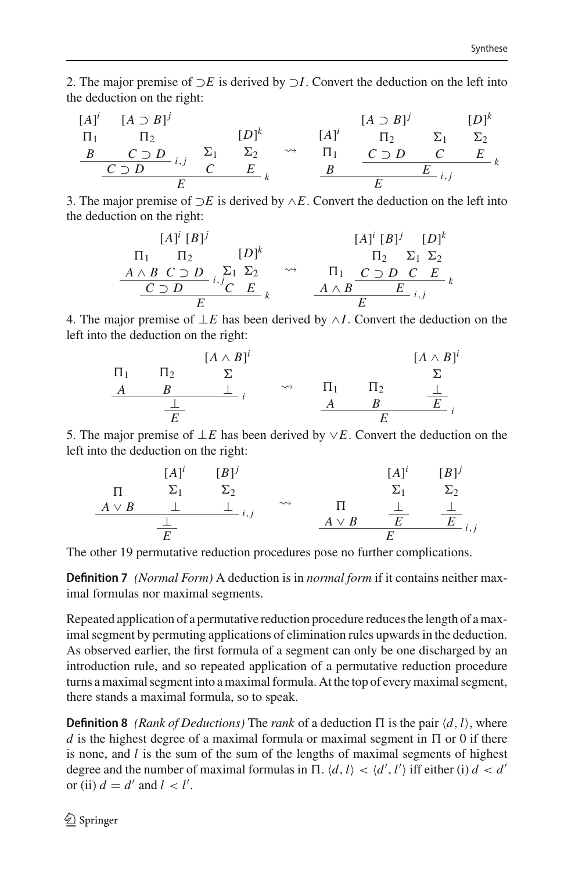2. The major premise of ⊃*E* is derived by ⊃*I*. Convert the deduction on the left into the deduction on the right:

$$
[A]^{i} \quad [A \supset B]^{j} \qquad [D]^{k} \qquad [A \supset B]^{j} \qquad [D]^{k}
$$
\n
$$
\begin{array}{c|ccccc}\nB & C \supset D & \sum_{i,j} & \sum_{i,j} & \sum_{i} & \sum_{i,j} & \sum_{i,j} & \sum_{i,j} & \sum_{i,j} & \sum_{i,j} & \sum_{i,j} & \sum_{i,j} & \sum_{i,j} & \sum_{i,j} & \sum_{i,j} & \sum_{i,j} & \sum_{i,j} & \sum_{i,j} & \sum_{i,j} & \sum_{i,j} & \sum_{i,j} & \sum_{i,j} & \sum_{i,j} & \sum_{i,j} & \sum_{i,j} & \sum_{i,j} & \sum_{i,j} & \sum_{i,j} & \sum_{i,j} & \sum_{i,j} & \sum_{i,j} & \sum_{i,j} & \sum_{i,j} & \sum_{i,j} & \sum_{i,j} & \sum_{i,j} & \sum_{i,j} & \sum_{i,j} & \sum_{i,j} & \sum_{i,j} & \sum_{i,j} & \sum_{i,j} & \sum_{i,j} & \sum_{i,j} & \sum_{i,j} & \sum_{i,j} & \sum_{i,j} & \sum_{i,j} & \sum_{i,j} & \sum_{i,j} & \sum_{i,j} & \sum_{i,j} & \sum_{i,j} & \sum_{i,j} & \sum_{i,j} & \sum_{i,j} & \sum_{i,j} & \sum_{i,j} & \sum_{i,j} & \sum_{i,j} & \sum_{i,j} & \sum_{i,j} & \sum_{i,j} & \sum_{i,j} & \sum_{i,j} & \sum_{i,j} & \sum_{i,j} & \sum_{i,j} & \sum_{i,j} & \sum_{i,j} & \sum_{i,j} & \sum_{i,j} & \sum_{i,j} & \sum_{i,j} & \sum_{i,j} & \sum_{i,j} & \sum_{i,j} & \sum_{i,j} & \sum_{i,j} & \sum_{i,j} & \sum_{i,j} & \sum_{i,j} & \sum_{i,j} & \sum_{i,j} & \sum_{i,j} & \sum_{i,j} & \sum_{i,j} & \sum_{i,j} & \sum_{i,j} & \sum_{i,j} & \sum_{i,j} & \sum_{i,j} & \sum_{i,j} & \sum_{i,j} & \sum_{i,j} & \sum_{i,j} & \sum_{i,j} & \sum_{i,j} & \sum_{i,j} & \sum_{i,j
$$

3. The major premise of ⊃*E* is derived by ∧*E*. Convert the deduction on the left into the deduction on the right:

$$
[A]^i [B]^j
$$
\n
$$
\Pi_1 \qquad \Pi_2 \qquad [D]^k
$$
\n
$$
\underline{A \wedge B \ C \supset D} \quad i, \quad j_1 \sum_1 \sum_2 \qquad \leadsto \qquad \Pi_1 \qquad \underline{C \supset D \ C \ E} \quad k
$$
\n
$$
\underline{C \supset D} \quad i, \quad j_2 \sum_1 \sum_2 \qquad \downarrow \qquad \qquad \underline{A \wedge B} \qquad \underline{E} \qquad i, \quad j
$$

4. The major premise of ⊥*E* has been derived by ∧*I*. Convert the deduction on the left into the deduction on the right:

$$
\begin{array}{ccc}\n\Pi_1 & \Pi_2 & \Sigma & [A \wedge B]^i \\
\underline{A} & B & \perp \\
\underline{A} & \downarrow & \cdots & \Pi_1 & \Pi_2 & \perp \\
\underline{A} & \downarrow & \cdots & \underline{A} & B & \overline{E} \\
\underline{E} & & & \end{array}
$$

5. The major premise of ⊥*E* has been derived by ∨*E*. Convert the deduction on the left into the deduction on the right:

-*A* ∨ *B* [*A*] *i* <sup>1</sup> ⊥ [*B*]*<sup>j</sup>* <sup>2</sup> ⊥ *i*,*j* ⊥ *E* - -*A* ∨ *B* [*A*] *i* <sup>1</sup> ⊥ *E* [*B*]*<sup>j</sup>* <sup>2</sup> ⊥ *<sup>E</sup> <sup>i</sup>*,*<sup>j</sup> <sup>E</sup>*

The other 19 permutative reduction procedures pose no further complications.

**Definition 7** *(Normal Form)* A deduction is in *normal form* if it contains neither maximal formulas nor maximal segments.

Repeated application of a permutative reduction procedure reduces the length of a maximal segment by permuting applications of elimination rules upwards in the deduction. As observed earlier, the first formula of a segment can only be one discharged by an introduction rule, and so repeated application of a permutative reduction procedure turns a maximal segment into a maximal formula. At the top of every maximal segment, there stands a maximal formula, so to speak.

**Definition 8** *(Rank of Deductions)* The *rank* of a deduction  $\Pi$  is the pair  $\langle d, l \rangle$ , where  $d$  is the highest degree of a maximal formula or maximal segment in  $\Pi$  or 0 if there is none, and *l* is the sum of the sum of the lengths of maximal segments of highest degree and the number of maximal formulas in  $\Pi$ .  $\langle d, l \rangle < \langle d', l' \rangle$  iff either (i)  $d < d'$ or (ii)  $d = d'$  and  $l < l'$ .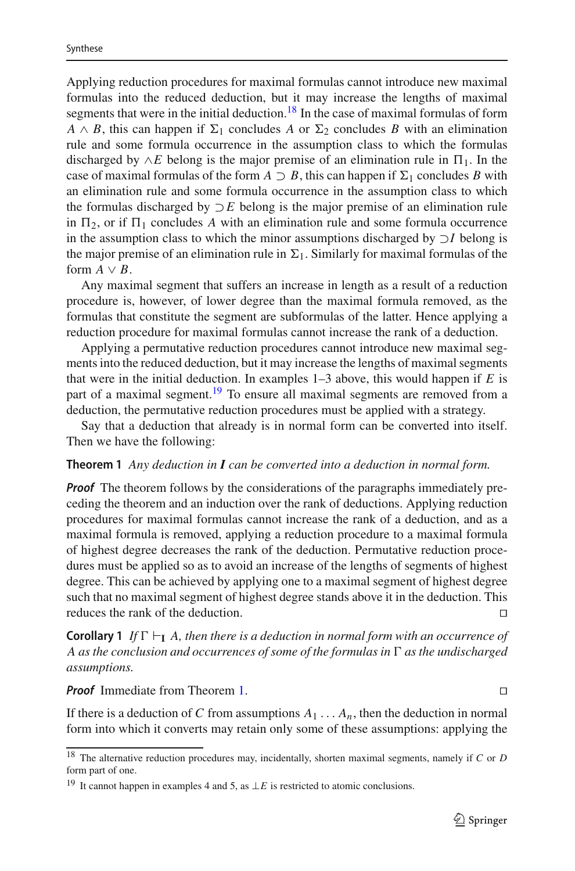Applying reduction procedures for maximal formulas cannot introduce new maximal formulas into the reduced deduction, but it may increase the lengths of maximal segments that were in the initial deduction.<sup>18</sup> In the case of maximal formulas of form  $A \wedge B$ , this can happen if  $\Sigma_1$  concludes *A* or  $\Sigma_2$  concludes *B* with an elimination rule and some formula occurrence in the assumption class to which the formulas discharged by  $\wedge E$  belong is the major premise of an elimination rule in  $\Pi_1$ . In the case of maximal formulas of the form  $A \supset B$ , this can happen if  $\Sigma_1$  concludes *B* with an elimination rule and some formula occurrence in the assumption class to which the formulas discharged by ⊃*E* belong is the major premise of an elimination rule in  $\Pi_2$ , or if  $\Pi_1$  concludes A with an elimination rule and some formula occurrence in the assumption class to which the minor assumptions discharged by ⊃*I* belong is the major premise of an elimination rule in  $\Sigma_1$ . Similarly for maximal formulas of the form  $A \vee B$ .

Any maximal segment that suffers an increase in length as a result of a reduction procedure is, however, of lower degree than the maximal formula removed, as the formulas that constitute the segment are subformulas of the latter. Hence applying a reduction procedure for maximal formulas cannot increase the rank of a deduction.

Applying a permutative reduction procedures cannot introduce new maximal segments into the reduced deduction, but it may increase the lengths of maximal segments that were in the initial deduction. In examples 1–3 above, this would happen if *E* is part of a maximal segment.<sup>19</sup> To ensure all maximal segments are removed from a deduction, the permutative reduction procedures must be applied with a strategy.

<span id="page-16-2"></span>Say that a deduction that already is in normal form can be converted into itself. Then we have the following:

### **Theorem 1** *Any deduction in I can be converted into a deduction in normal form.*

*Proof* The theorem follows by the considerations of the paragraphs immediately preceding the theorem and an induction over the rank of deductions. Applying reduction procedures for maximal formulas cannot increase the rank of a deduction, and as a maximal formula is removed, applying a reduction procedure to a maximal formula of highest degree decreases the rank of the deduction. Permutative reduction procedures must be applied so as to avoid an increase of the lengths of segments of highest degree. This can be achieved by applying one to a maximal segment of highest degree such that no maximal segment of highest degree stands above it in the deduction. This reduces the rank of the deduction.

**Corollary 1** *If*  $\Gamma \vdash_{\mathbf{I}} A$ *, then there is a deduction in normal form with an occurrence of A* as the conclusion and occurrences of some of the formulas in  $\Gamma$  as the undischarged *assumptions.*

#### *Proof* Immediate from Theorem [1.](#page-16-2)

If there is a deduction of *C* from assumptions  $A_1 \ldots A_n$ , then the deduction in normal form into which it converts may retain only some of these assumptions: applying the

<span id="page-16-0"></span><sup>18</sup> The alternative reduction procedures may, incidentally, shorten maximal segments, namely if *C* or *D* form part of one.

<span id="page-16-1"></span><sup>&</sup>lt;sup>19</sup> It cannot happen in examples 4 and 5, as  $\bot E$  is restricted to atomic conclusions.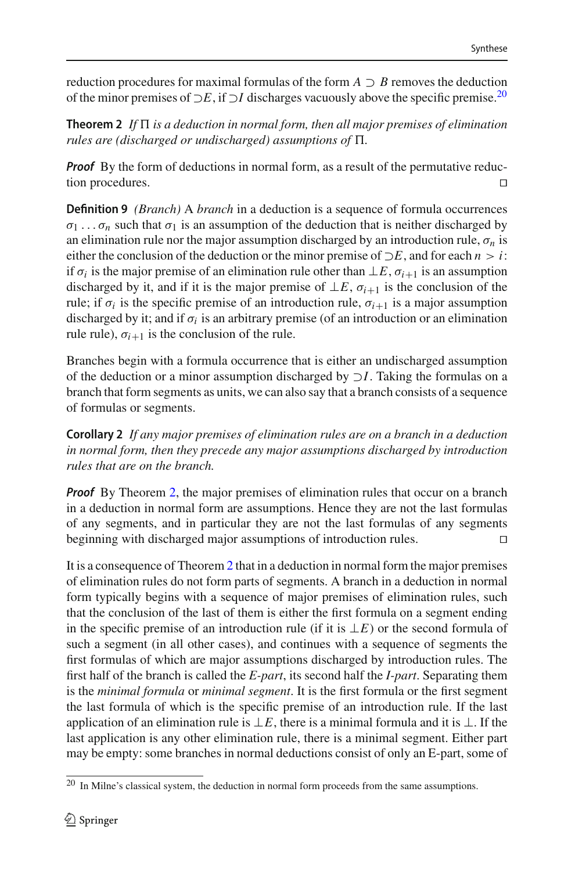<span id="page-17-1"></span>reduction procedures for maximal formulas of the form  $A \supset B$  removes the deduction of the minor premises of <sup>⊃</sup>*E*, if <sup>⊃</sup>*<sup>I</sup>* discharges vacuously above the specific premise[.20](#page-17-0)

 ${\sf Theorem ~2~}$  If  $\Pi$  is a deduction in normal form, then all major premises of elimination  $r$ ules are (discharged or undischarged) assumptions of  $\Pi.$ 

**Proof** By the form of deductions in normal form, as a result of the permutative reduction procedures.

**Definition 9** *(Branch)* A *branch* in a deduction is a sequence of formula occurrences  $\sigma_1 \ldots \sigma_n$  such that  $\sigma_1$  is an assumption of the deduction that is neither discharged by an elimination rule nor the major assumption discharged by an introduction rule,  $\sigma_n$  is either the conclusion of the deduction or the minor premise of  $\neg E$ , and for each  $n > i$ : if  $\sigma_i$  is the major premise of an elimination rule other than  $\perp E$ ,  $\sigma_{i+1}$  is an assumption discharged by it, and if it is the major premise of  $\perp E$ ,  $\sigma_{i+1}$  is the conclusion of the rule; if  $\sigma_i$  is the specific premise of an introduction rule,  $\sigma_{i+1}$  is a major assumption discharged by it; and if  $\sigma_i$  is an arbitrary premise (of an introduction or an elimination rule rule),  $\sigma_{i+1}$  is the conclusion of the rule.

Branches begin with a formula occurrence that is either an undischarged assumption of the deduction or a minor assumption discharged by ⊃*I*. Taking the formulas on a branch that form segments as units, we can also say that a branch consists of a sequence of formulas or segments.

**Corollary 2** *If any major premises of elimination rules are on a branch in a deduction in normal form, then they precede any major assumptions discharged by introduction rules that are on the branch.*

*Proof* By Theorem [2,](#page-17-1) the major premises of elimination rules that occur on a branch in a deduction in normal form are assumptions. Hence they are not the last formulas of any segments, and in particular they are not the last formulas of any segments beginning with discharged major assumptions of introduction rules. 

It is a consequence of Theorem [2](#page-17-1) that in a deduction in normal form the major premises of elimination rules do not form parts of segments. A branch in a deduction in normal form typically begins with a sequence of major premises of elimination rules, such that the conclusion of the last of them is either the first formula on a segment ending in the specific premise of an introduction rule (if it is ⊥*E*) or the second formula of such a segment (in all other cases), and continues with a sequence of segments the first formulas of which are major assumptions discharged by introduction rules. The first half of the branch is called the *E-part*, its second half the *I-part*. Separating them is the *minimal formula* or *minimal segment*. It is the first formula or the first segment the last formula of which is the specific premise of an introduction rule. If the last application of an elimination rule is  $\perp E$ , there is a minimal formula and it is  $\perp$ . If the last application is any other elimination rule, there is a minimal segment. Either part may be empty: some branches in normal deductions consist of only an E-part, some of

<span id="page-17-0"></span><sup>&</sup>lt;sup>20</sup> In Milne's classical system, the deduction in normal form proceeds from the same assumptions.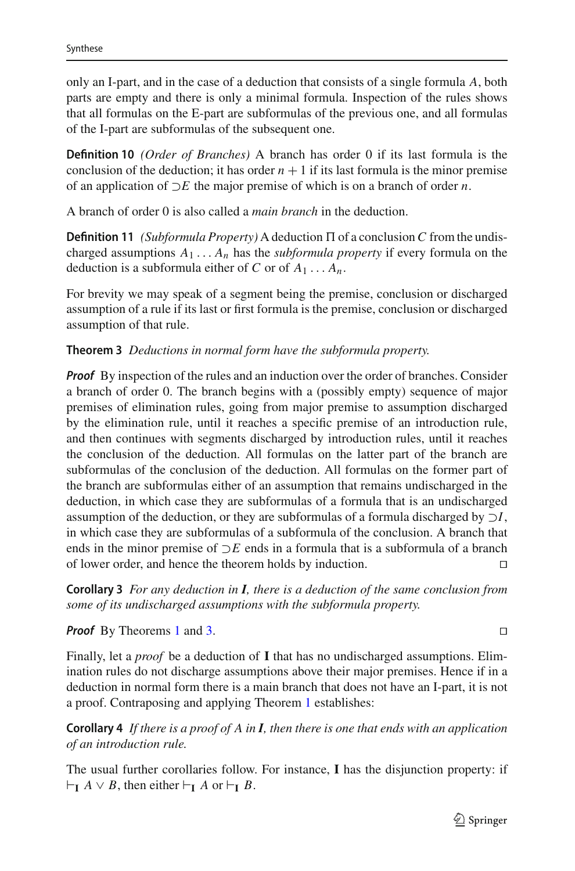only an I-part, and in the case of a deduction that consists of a single formula *A*, both parts are empty and there is only a minimal formula. Inspection of the rules shows that all formulas on the E-part are subformulas of the previous one, and all formulas of the I-part are subformulas of the subsequent one.

**Definition 10** *(Order of Branches)* A branch has order 0 if its last formula is the conclusion of the deduction; it has order  $n + 1$  if its last formula is the minor premise of an application of ⊃*E* the major premise of which is on a branch of order *n*.

A branch of order 0 is also called a *main branch* in the deduction.

**Definition 11** *(Subformula Property)* A deduction  $\Pi$  of a conclusion C from the undischarged assumptions  $A_1 \ldots A_n$  has the *subformula property* if every formula on the deduction is a subformula either of *C* or of  $A_1 \ldots A_n$ .

For brevity we may speak of a segment being the premise, conclusion or discharged assumption of a rule if its last or first formula is the premise, conclusion or discharged assumption of that rule.

<span id="page-18-0"></span>**Theorem 3** *Deductions in normal form have the subformula property.*

*Proof* By inspection of the rules and an induction over the order of branches. Consider a branch of order 0. The branch begins with a (possibly empty) sequence of major premises of elimination rules, going from major premise to assumption discharged by the elimination rule, until it reaches a specific premise of an introduction rule, and then continues with segments discharged by introduction rules, until it reaches the conclusion of the deduction. All formulas on the latter part of the branch are subformulas of the conclusion of the deduction. All formulas on the former part of the branch are subformulas either of an assumption that remains undischarged in the deduction, in which case they are subformulas of a formula that is an undischarged assumption of the deduction, or they are subformulas of a formula discharged by ⊃*I*, in which case they are subformulas of a subformula of the conclusion. A branch that ends in the minor premise of ⊃*E* ends in a formula that is a subformula of a branch of lower order, and hence the theorem holds by induction. 

**Corollary 3** *For any deduction in I, there is a deduction of the same conclusion from some of its undischarged assumptions with the subformula property.*

*Proof* By Theorems [1](#page-16-2) and [3.](#page-18-0) 

Finally, let a *proof* be a deduction of **I** that has no undischarged assumptions. Elimination rules do not discharge assumptions above their major premises. Hence if in a deduction in normal form there is a main branch that does not have an I-part, it is not a proof. Contraposing and applying Theorem [1](#page-16-2) establishes:

<span id="page-18-1"></span>**Corollary 4** *If there is a proof of A in I, then there is one that ends with an application of an introduction rule.*

The usual further corollaries follow. For instance, **I** has the disjunction property: if  $\vdash$ **I** *A* ∨ *B*, then either  $\vdash$ **I** *A* or  $\vdash$ **I** *B*.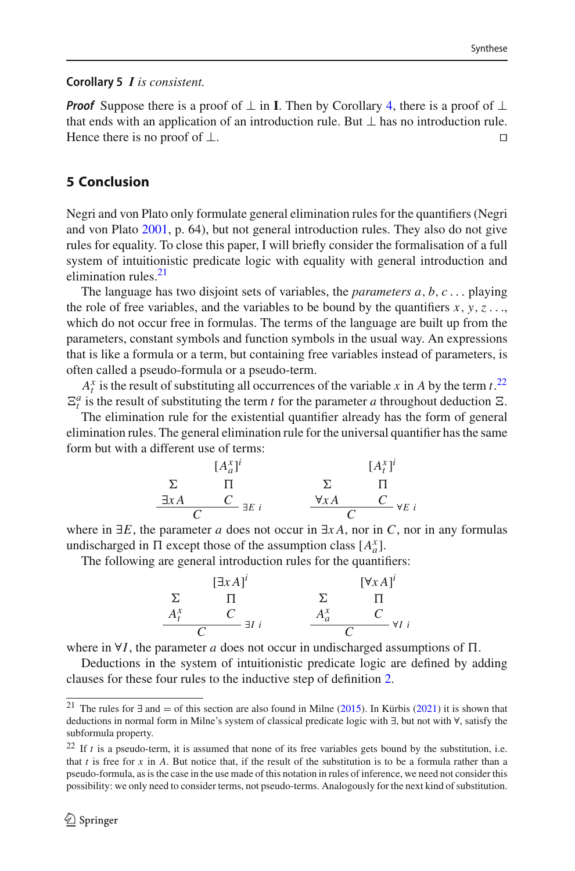#### **Corollary 5** *I is consistent.*

*Proof* Suppose there is a proof of  $\perp$  in **I**. Then by Corollary [4,](#page-18-1) there is a proof of  $\perp$ that ends with an application of an introduction rule. But ⊥ has no introduction rule. Hence there is no proof of  $\Box$ Hence there is no proof of  $\perp$ .

# **5 Conclusion**

Negri and von Plato only formulate general elimination rules for the quantifiers (Negri and von Plat[o](#page-24-9) [2001](#page-24-9), p. 64), but not general introduction rules. They also do not give rules for equality. To close this paper, I will briefly consider the formalisation of a full system of intuitionistic predicate logic with equality with general introduction and elimination rules  $21$ 

The language has two disjoint sets of variables, the *parameters a*, *b*, *c* ... playing the role of free variables, and the variables to be bound by the quantifiers  $x, y, z...$ which do not occur free in formulas. The terms of the language are built up from the parameters, constant symbols and function symbols in the usual way. An expressions that is like a formula or a term, but containing free variables instead of parameters, is often called a pseudo-formula or a pseudo-term.

 $A_t^x$  is the result of substituting all occurrences of the variable *x* in *A* by the term *t*.<sup>[22](#page-19-1)</sup>  $\mathbb{E}_t^a$  is the result of substituting the term *t* for the parameter *a* throughout deduction  $\mathbb{E}_t$ .

The elimination rule for the existential quantifier already has the form of general elimination rules. The general elimination rule for the universal quantifier has the same form but with a different use of terms:

$$
\begin{array}{ccc}\n & [A_a^x]^i & [A_t^x]^i \\
\Sigma & \Pi & \Sigma & \Pi \\
\exists xA & C \\
C & \exists E \ i & \forall xA & C \\
\end{array}
$$

where in  $\exists E$ , the parameter *a* does not occur in  $\exists x A$ , nor in *C*, nor in any formulas undischarged in  $\Pi$  except those of the assumption class  $[A^x_a]$ .

The following are general introduction rules for the quantifiers:

$$
\begin{array}{ccc}\n & [\exists x A]^i & & [\forall x A]^i \\
\Sigma & \Pi & & \Sigma & \Pi \\
A_t^x & C & \exists I \ i & & \frac{A_a^x & C}{C} \\
\hline\n\end{array}
$$

where in  $\forall I$ , the parameter *a* does not occur in undischarged assumptions of  $\Pi$ .

Deductions in the system of intuitionistic predicate logic are defined by adding clauses for these four rules to the inductive step of definition [2.](#page-7-1)

<span id="page-19-0"></span><sup>&</sup>lt;sup>21</sup> Th[e](#page-24-15) rules for ∃ and = of this section are also found in Milne [\(2015](#page-24-15)). In Kürbi[s](#page-24-17) [\(2021](#page-24-17)) it is shown that deductions in normal form in Milne's system of classical predicate logic with ∃, but not with ∀, satisfy the subformula property.

<span id="page-19-1"></span> $22$  If *t* is a pseudo-term, it is assumed that none of its free variables gets bound by the substitution, i.e. that *t* is free for *x* in *A*. But notice that, if the result of the substitution is to be a formula rather than a pseudo-formula, as is the case in the use made of this notation in rules of inference, we need not consider this possibility: we only need to consider terms, not pseudo-terms. Analogously for the next kind of substitution.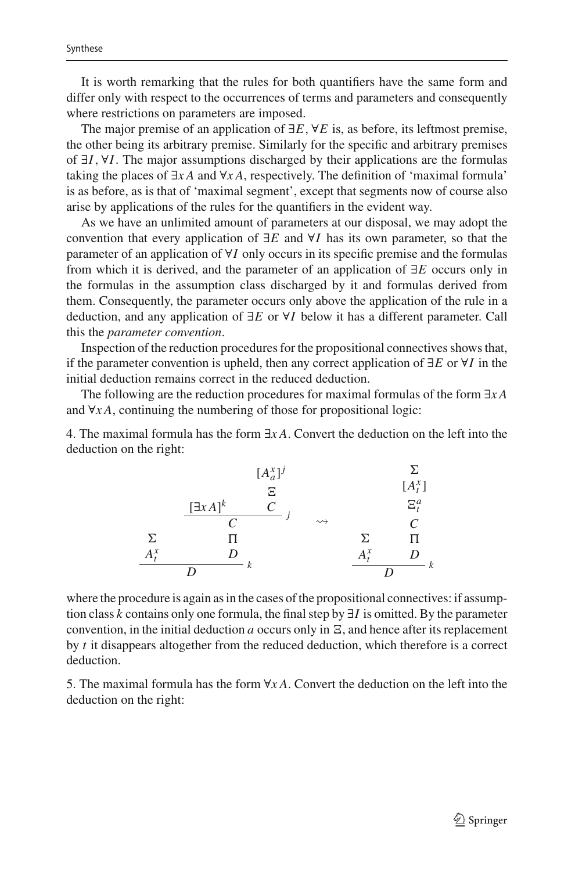It is worth remarking that the rules for both quantifiers have the same form and differ only with respect to the occurrences of terms and parameters and consequently where restrictions on parameters are imposed.

The major premise of an application of ∃*E*, ∀*E* is, as before, its leftmost premise, the other being its arbitrary premise. Similarly for the specific and arbitrary premises of ∃*I*, ∀*I*. The major assumptions discharged by their applications are the formulas taking the places of ∃*x A* and ∀*x A*, respectively. The definition of 'maximal formula' is as before, as is that of 'maximal segment', except that segments now of course also arise by applications of the rules for the quantifiers in the evident way.

As we have an unlimited amount of parameters at our disposal, we may adopt the convention that every application of ∃*E* and ∀*I* has its own parameter, so that the parameter of an application of ∀*I* only occurs in its specific premise and the formulas from which it is derived, and the parameter of an application of ∃*E* occurs only in the formulas in the assumption class discharged by it and formulas derived from them. Consequently, the parameter occurs only above the application of the rule in a deduction, and any application of ∃*E* or ∀*I* below it has a different parameter. Call this the *parameter convention*.

Inspection of the reduction procedures for the propositional connectives shows that, if the parameter convention is upheld, then any correct application of ∃*E* or ∀*I* in the initial deduction remains correct in the reduced deduction.

The following are the reduction procedures for maximal formulas of the form ∃*x A* and ∀*x A*, continuing the numbering of those for propositional logic:

4. The maximal formula has the form ∃*x A*. Convert the deduction on the left into the deduction on the right:

$$
[A_a^x]^j \qquad \sum_{\substack{\Xi \\ \Xi \\ C}} \qquad [A_t^x] \qquad \qquad [A_t^x] \qquad \qquad [A_t^x] \qquad \qquad [A_t^x] \qquad \qquad [A_t^x] \qquad \qquad [A_t^x] \qquad \qquad [A_t^x] \qquad \qquad [A_t^x] \qquad \qquad [A_t^x] \qquad \qquad [A_t^x] \qquad \qquad [A_t^x] \qquad \qquad [A_t^x] \qquad \qquad [A_t^x] \qquad \qquad [A_t^x] \qquad \qquad [A_t^x] \qquad \qquad [A_t^x] \qquad \qquad [A_t^x] \qquad \qquad [A_t^x] \qquad \qquad [A_t^x] \qquad \qquad [A_t^x] \qquad \qquad [A_t^x] \qquad \qquad [A_t^x] \qquad \qquad [A_t^x] \qquad \qquad [A_t^x] \qquad \qquad [A_t^x] \qquad \qquad [A_t^x] \qquad \qquad [A_t^x] \qquad \qquad [A_t^x] \qquad \qquad [A_t^x] \qquad \qquad [A_t^x] \qquad \qquad [A_t^x] \qquad \qquad [A_t^x] \qquad \qquad [A_t^x] \qquad \qquad [A_t^x] \qquad \qquad [A_t^x] \qquad \qquad [A_t^x] \qquad \qquad [A_t^x] \qquad \qquad [A_t^x] \qquad \qquad [A_t^x] \qquad \qquad [A_t^x] \qquad \qquad [A_t^x] \qquad \qquad [A_t^x] \qquad \qquad [A_t^x] \qquad \qquad [A_t^x] \qquad \qquad [A_t^x] \qquad \qquad [A_t^x] \qquad \qquad [A_t^x] \qquad \qquad [A_t^x] \qquad \qquad [A_t^x] \qquad \qquad [A_t^x] \qquad \qquad [A_t^x] \qquad \qquad [A_t^x] \qquad \qquad [A_t^x] \qquad \qquad [A_t^x] \qquad \qquad [A_t^x] \qquad \qquad [A_t^x] \qquad \qquad [A_t^x] \qquad \qquad [A_t^x] \qquad \qquad [A_t^x] \qquad \qquad [A_t^x] \qquad \qquad [A_t^x] \qquad \qquad
$$

where the procedure is again as in the cases of the propositional connectives: if assumption class *k* contains only one formula, the final step by ∃*I* is omitted. By the parameter convention, in the initial deduction  $a$  occurs only in  $\Xi$ , and hence after its replacement by *t* it disappears altogether from the reduced deduction, which therefore is a correct deduction.

5. The maximal formula has the form ∀*x A*. Convert the deduction on the left into the deduction on the right: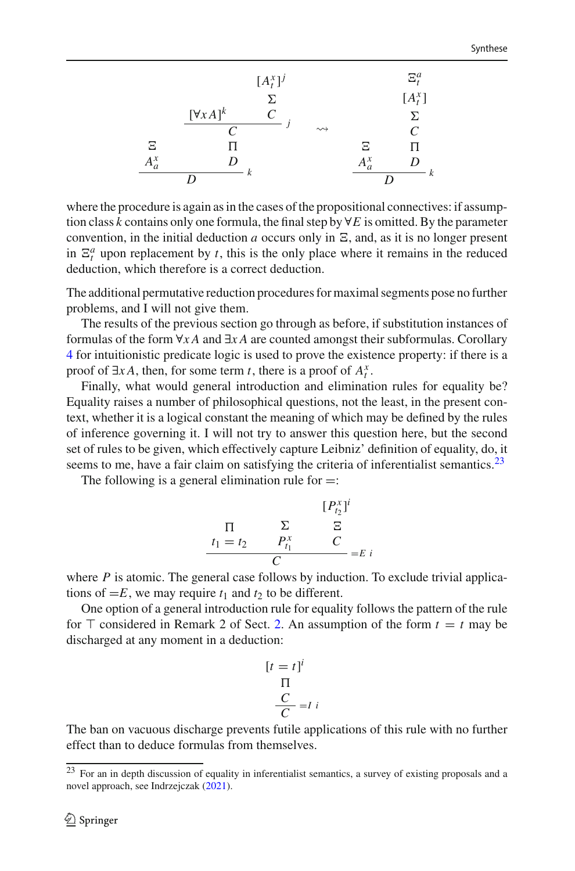|             |                   | $[A_t^x]^j$ |                    |         | $\Xi^a_t$ |
|-------------|-------------------|-------------|--------------------|---------|-----------|
|             |                   | Σ.          |                    |         | $[A_t^x]$ |
|             | $[\forall x A]^k$ | C           |                    |         | Σ         |
|             | C                 |             | $\rightsquigarrow$ |         | C         |
| Ξ           |                   |             |                    | Ξ       | П         |
| $A_{c}^{x}$ |                   |             |                    | $A^x_a$ |           |
|             |                   |             |                    |         |           |

where the procedure is again as in the cases of the propositional connectives: if assumption class *k* contains only one formula, the final step by  $\forall E$  is omitted. By the parameter convention, in the initial deduction *a* occurs only in  $\Xi$ , and, as it is no longer present in  $\mathbb{E}_t^a$  upon replacement by *t*, this is the only place where it remains in the reduced deduction, which therefore is a correct deduction.

The additional permutative reduction procedures for maximal segments pose no further problems, and I will not give them.

The results of the previous section go through as before, if substitution instances of formulas of the form ∀*x A* and ∃*x A* are counted amongst their subformulas. Corollary [4](#page-18-1) for intuitionistic predicate logic is used to prove the existence property: if there is a proof of  $\exists x A$ , then, for some term *t*, there is a proof of  $A_t^x$ .

Finally, what would general introduction and elimination rules for equality be? Equality raises a number of philosophical questions, not the least, in the present context, whether it is a logical constant the meaning of which may be defined by the rules of inference governing it. I will not try to answer this question here, but the second set of rules to be given, which effectively capture Leibniz' definition of equality, do, it seems to me, have a fair claim on satisfying the criteria of inferentialist semantics. $23$ 

The following is a general elimination rule for  $=$ :

$$
\begin{array}{ccc}\n & & [P_{t_2}^x]^i \\
\prod & \sum & \sum & \sum \\
t_1 = t_2 & P_{t_1}^x & C \\
C & & & \end{array}
$$

where *P* is atomic. The general case follows by induction. To exclude trivial applications of  $=E$ , we may require  $t_1$  and  $t_2$  to be different.

One option of a general introduction rule for equality follows the pattern of the rule for  $\top$  considered in Remark 2 of Sect. [2.](#page-2-1) An assumption of the form  $t = t$  may be discharged at any moment in a deduction:

$$
[t = t]^i
$$
  
\n
$$
\Pi
$$
  
\n
$$
\frac{C}{C} = I
$$

The ban on vacuous discharge prevents futile applications of this rule with no further effect than to deduce formulas from themselves.

<span id="page-21-0"></span><sup>&</sup>lt;sup>23</sup> For an in depth discussion of equality in inferentialist semantics, a survey of existing proposals and a novel approach, see Indrzejcza[k](#page-24-23) [\(2021](#page-24-23)).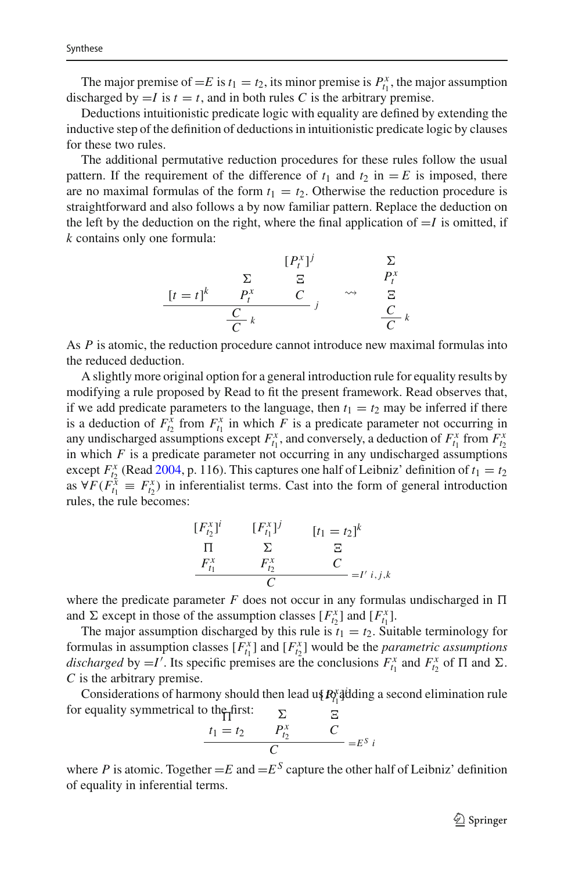The major premise of  $=E$  is  $t_1 = t_2$ , its minor premise is  $P_{t_1}^x$ , the major assumption discharged by  $=I$  is  $t = t$ , and in both rules C is the arbitrary premise.

Deductions intuitionistic predicate logic with equality are defined by extending the inductive step of the definition of deductions in intuitionistic predicate logic by clauses for these two rules.

The additional permutative reduction procedures for these rules follow the usual pattern. If the requirement of the difference of  $t_1$  and  $t_2$  in  $=E$  is imposed, there are no maximal formulas of the form  $t_1 = t_2$ . Otherwise the reduction procedure is straightforward and also follows a by now familiar pattern. Replace the deduction on the left by the deduction on the right, where the final application of  $=I$  is omitted, if *k* contains only one formula:

$$
[P_t^x]^j \qquad \sum_{\sum \atop \sum t = t}^{[\sum P_t^x]^j} \sum_{P_t^x} P_t^x
$$
  

$$
\frac{[t = t]^k \qquad P_t^x \qquad C}{\frac{C}{C} k} \qquad \leadsto \qquad \frac{C}{C} k
$$

As *P* is atomic, the reduction procedure cannot introduce new maximal formulas into the reduced deduction.

A slightly more original option for a general introduction rule for equality results by modifying a rule proposed by Read to fit the present framework. Read observes that, if we add predicate parameters to the language, then  $t_1 = t_2$  may be inferred if there is a deduction of  $F_{t_2}^x$  from  $F_{t_1}^x$  in which *F* is a predicate parameter not occurring in any undischarged assumptions except  $F_{t_1}^x$ , and conversely, a deduction of  $F_{t_1}^x$  from  $F_{t_2}^x$ in which *F* is a predicate parameter not occurring in any undischarged assumptions except  $F_{t_2}^x$  (Rea[d](#page-24-24) [2004,](#page-24-24) p. 116). This captures one half of Leibniz' definition of  $t_1 = t_2$ as  $\forall F(F_{t_1}^{\bar{x}} \equiv F_{t_2}^{\bar{x}})$  in inferentialist terms. Cast into the form of general introduction rules, the rule becomes:

$$
\begin{array}{ccc}\n[F_{t_2}^{x}]^i & [F_{t_1}^{x}]^j & [t_1 = t_2]^k \\
\prod_{\substack{\text{r} \\ \text{r}_1 \\ \text{r}_2 \\ \text{r}_3 \\ \text{r}_4 \\ \text{r}_5 \\ \end{array}\n\quad\n\begin{array}{ccc}\n[F_{t_1}^{x}]^j & [t_1 = t_2]^k \\
\text{E}^x & \text{E}^x \\
\text{E}^x & \text{E}^x \\
\text{E}^x & \text{E}^x \\
\text{E}^x & \text{E}^x \\
\text{E}^x & \text{E}^x \\
\text{E}^x & \text{E}^x \\
\text{E}^x & \text{E}^x \\
\text{E}^x & \text{E}^x \\
\text{E}^x & \text{E}^x \\
\text{E}^x & \text{E}^x \\
\text{E}^x & \text{E}^x \\
\text{E}^x & \text{E}^x \\
\text{E}^x & \text{E}^x \\
\text{E}^x & \text{E}^x \\
\text{E}^x & \text{E}^x \\
\text{E}^x & \text{E}^x \\
\text{E}^x & \text{E}^x \\
\text{E}^x & \text{E}^x \\
\text{E}^x & \text{E}^x \\
\text{E}^x & \text{E}^x \\
\text{E}^x & \text{E}^x \\
\text{E}^x & \text{E}^x \\
\text{E}^x & \text{E}^x \\
\text{E}^x & \text{E}^x \\
\text{E}^x & \text{E}^x \\
\text{E}^x & \text{E}^x \\
\text{E}^x & \text{E}^x \\
\text{E}^x & \text{E}^x \\
\text{E}^x & \text{E}^x \\
\text{E}^x & \text{E}^x \\
\text{E}^x & \text{E}^x \\
\text{E}^x & \text{E}^x \\
\text{E}^x & \text{E}^x \\
\text{E}^x & \text{E}^x \\
\text{E}^x & \
$$

where the predicate parameter  $F$  does not occur in any formulas undischarged in  $\Pi$ and  $\Sigma$  except in those of the assumption classes  $[F_{t_2}^x]$  and  $[F_{t_1}^x]$ .

The major assumption discharged by this rule is  $t_1 = t_2$ . Suitable terminology for formulas in assumption classes  $[F_{t_1}^x]$  and  $[F_{t_2}^x]$  would be the *parametric assumptions* discharged by =*I'*. Its specific premises are the conclusions  $F_{t_1}^x$  and  $F_{t_2}^x$  of  $\Pi$  and  $\Sigma$ . *C* is the arbitrary premise.

Considerations of harmony should then lead us  $R_1^{\text{y}}$  adding a second elimination rule for equality symmetrical to the first:  $\boldsymbol{\nabla}$  $\Xi$ 

$$
\frac{t_1 = t_2 \qquad P_{t_2}^x \qquad C}{C} = E^S i
$$

where *P* is atomic. Together  $=E$  and  $=E^S$  capture the other half of Leibniz' definition of equality in inferential terms.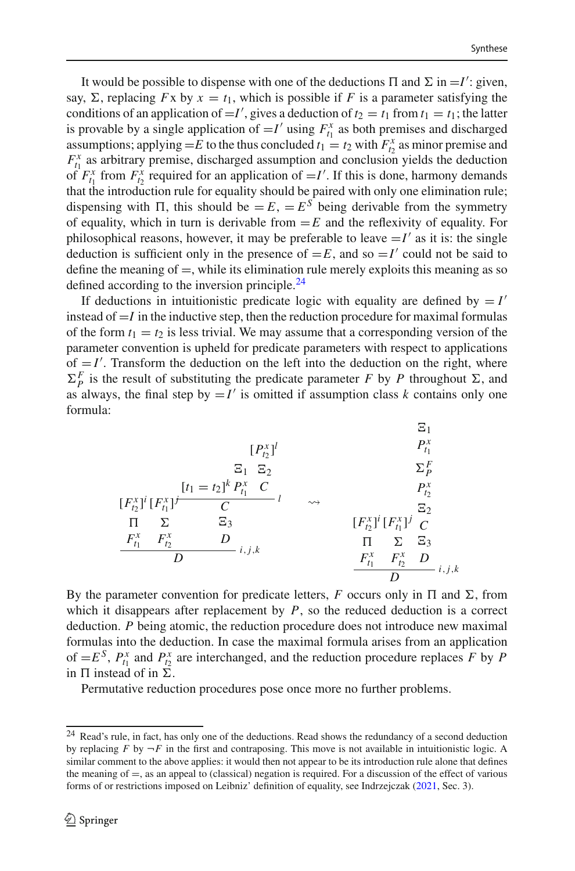It would be possible to dispense with one of the deductions  $\Pi$  and  $\Sigma$  in  $=I'$ : given, say,  $\Sigma$ , replacing *F*x by  $x = t_1$ , which is possible if *F* is a parameter satisfying the conditions of an application of  $=I'$ , gives a deduction of  $t_2 = t_1$  from  $t_1 = t_1$ ; the latter is provable by a single application of  $=$  *I'* using  $F_{t_1}^x$  as both premises and discharged assumptions; applying  $=E$  to the thus concluded  $t_1 = t_2$  with  $F_{t_2}^x$  as minor premise and  $F_{t_1}^x$  as arbitrary premise, discharged assumption and conclusion yields the deduction of  $F_{t_1}^x$  from  $F_{t_2}^x$  required for an application of  $=I'$ . If this is done, harmony demands that the introduction rule for equality should be paired with only one elimination rule; dispensing with  $\Pi$ , this should be  $=E$ ,  $=E^S$  being derivable from the symmetry of equality, which in turn is derivable from  $=E$  and the reflexivity of equality. For philosophical reasons, however, it may be preferable to leave  $=I'$  as it is: the single deduction is sufficient only in the presence of  $=E$ , and so  $=I'$  could not be said to define the meaning of  $=$ , while its elimination rule merely exploits this meaning as so defined according to the inversion principle.<sup>[24](#page-23-0)</sup>

If deductions in intuitionistic predicate logic with equality are defined by  $= I'$ instead of  $=I$  in the inductive step, then the reduction procedure for maximal formulas of the form  $t_1 = t_2$  is less trivial. We may assume that a corresponding version of the parameter convention is upheld for predicate parameters with respect to applications of  $=$  *I'*. Transform the deduction on the left into the deduction on the right, where  $\Sigma_P^F$  is the result of substituting the predicate parameter *F* by *P* throughout  $\Sigma$ , and as always, the final step by  $= I'$  is omitted if assumption class *k* contains only one formula:

$$
[P_{t_2}^x]^l
$$
  
\n
$$
E_1 E_2
$$
  
\n
$$
[F_{t_2}^x]^i [F_{t_1}^x]^j
$$
  
\n
$$
F_{t_1}^x = \sum_{i,j,k}^{r} E_i
$$
  
\n
$$
F_{t_1}^x F_{t_2}^x
$$
  
\n
$$
F_{t_1}^x F_{t_2}^x
$$
  
\n
$$
F_{t_1}^x F_{t_2}^x
$$
  
\n
$$
F_{t_1}^x F_{t_2}^x
$$
  
\n
$$
F_{t_1}^x F_{t_2}^x
$$
  
\n
$$
F_{t_1}^x F_{t_2}^x
$$
  
\n
$$
F_{t_1}^x F_{t_2}^x
$$
  
\n
$$
F_{t_1}^x F_{t_2}^x
$$
  
\n
$$
F_{t_1}^x F_{t_2}^x
$$
  
\n
$$
F_{t_1}^x F_{t_2}^x
$$
  
\n
$$
F_{t_1}^x F_{t_2}^x
$$
  
\n
$$
F_{t_1}^x F_{t_2}^x
$$
  
\n
$$
F_{t_1}^x F_{t_2}^x
$$
  
\n
$$
F_{t_1}^x F_{t_2}^x
$$
  
\n
$$
F_{t_1}^x F_{t_2}^x
$$
  
\n
$$
F_{t_1}^x F_{t_2}^x
$$
  
\n
$$
F_{t_1}^x F_{t_2}^x
$$
  
\n
$$
F_{t_1}^x F_{t_2}^x
$$
  
\n
$$
F_{t_1}^x F_{t_2}^x
$$
  
\n
$$
F_{t_1}^x F_{t_2}^x
$$
  
\n
$$
F_{t_1}^x F_{t_2}^x
$$
  
\n
$$
F_{t_1}^x F_{t_2}^x
$$
  
\n
$$
F_{t_1}^x F_{t_2}^x
$$
  
\n
$$
F_{t_1}^
$$

By the parameter convention for predicate letters,  $F$  occurs only in  $\Pi$  and  $\Sigma$ , from which it disappears after replacement by  $P$ , so the reduced deduction is a correct deduction. *P* being atomic, the reduction procedure does not introduce new maximal formulas into the deduction. In case the maximal formula arises from an application of  $=E^S$ ,  $P_{t_1}^x$  and  $P_{t_2}^x$  are interchanged, and the reduction procedure replaces *F* by *P* in  $\Pi$  instead of in  $\Sigma$ .

Permutative reduction procedures pose once more no further problems.

<span id="page-23-0"></span><sup>&</sup>lt;sup>24</sup> Read's rule, in fact, has only one of the deductions. Read shows the redundancy of a second deduction by replacing  $F$  by  $-F$  in the first and contraposing. This move is not available in intuitionistic logic. A similar comment to the above applies: it would then not appear to be its introduction rule alone that defines the meaning of  $=$ , as an appeal to (classical) negation is required. For a discussion of the effect of various forms of or restrictions imposed on Leibniz' definition of equality, see Indrzejczak [\(2021](#page-24-23), Sec. 3).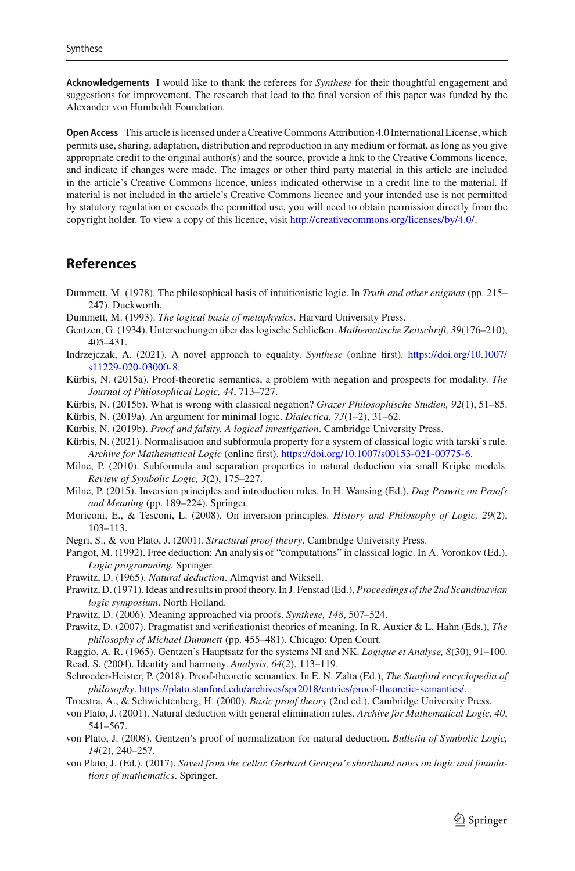**Acknowledgements** I would like to thank the referees for *Synthese* for their thoughtful engagement and suggestions for improvement. The research that lead to the final version of this paper was funded by the Alexander von Humboldt Foundation.

**Open Access** This article is licensed under a Creative Commons Attribution 4.0 International License, which permits use, sharing, adaptation, distribution and reproduction in any medium or format, as long as you give appropriate credit to the original author(s) and the source, provide a link to the Creative Commons licence, and indicate if changes were made. The images or other third party material in this article are included in the article's Creative Commons licence, unless indicated otherwise in a credit line to the material. If material is not included in the article's Creative Commons licence and your intended use is not permitted by statutory regulation or exceeds the permitted use, you will need to obtain permission directly from the copyright holder. To view a copy of this licence, visit [http://creativecommons.org/licenses/by/4.0/.](http://creativecommons.org/licenses/by/4.0/)

# **References**

- <span id="page-24-1"></span>Dummett, M. (1978). The philosophical basis of intuitionistic logic. In *Truth and other enigmas* (pp. 215– 247). Duckworth.
- <span id="page-24-2"></span>Dummett, M. (1993). *The logical basis of metaphysics*. Harvard University Press.
- <span id="page-24-0"></span>Gentzen, G. (1934). Untersuchungen über das logische Schließen. *Mathematische Zeitschrift, 39*(176–210), 405–431.
- <span id="page-24-23"></span>Indrzejczak, A. (2021). A novel approach to equality. *Synthese* (online first). [https://doi.org/10.1007/](https://doi.org/10.1007/s11229-020-03000-8) [s11229-020-03000-8.](https://doi.org/10.1007/s11229-020-03000-8)
- <span id="page-24-8"></span>Kürbis, N. (2015a). Proof-theoretic semantics, a problem with negation and prospects for modality. *The Journal of Philosophical Logic, 44*, 713–727.
- <span id="page-24-20"></span>Kürbis, N. (2015b). What is wrong with classical negation? *Grazer Philosophische Studien, 92*(1), 51–85.
- <span id="page-24-21"></span>Kürbis, N. (2019a). An argument for minimal logic. *Dialectica, 73*(1–2), 31–62.
- <span id="page-24-14"></span>Kürbis, N. (2019b). *Proof and falsity. A logical investigation*. Cambridge University Press.
- <span id="page-24-17"></span>Kürbis, N. (2021). Normalisation and subformula property for a system of classical logic with tarski's rule. *Archive for Mathematical Logic* (online first). [https://doi.org/10.1007/s00153-021-00775-6.](https://doi.org/10.1007/s00153-021-00775-6)
- <span id="page-24-16"></span>Milne, P. (2010). Subformula and separation properties in natural deduction via small Kripke models. *Review of Symbolic Logic, 3*(2), 175–227.
- <span id="page-24-15"></span>Milne, P. (2015). Inversion principles and introduction rules. In H. Wansing (Ed.), *Dag Prawitz on Proofs and Meaning* (pp. 189–224). Springer.
- <span id="page-24-18"></span>Moriconi, E., & Tesconi, L. (2008). On inversion principles. *History and Philosophy of Logic, 29*(2), 103–113.
- <span id="page-24-9"></span>Negri, S., & von Plato, J. (2001). *Structural proof theory*. Cambridge University Press.
- <span id="page-24-19"></span>Parigot, M. (1992). Free deduction: An analysis of "computations" in classical logic. In A. Voronkov (Ed.), *Logic programming.* Springer.
- <span id="page-24-3"></span>Prawitz, D. (1965). *Natural deduction*. Almqvist and Wiksell.
- <span id="page-24-4"></span>Prawitz, D. (1971). Ideas and results in proof theory. In J. Fenstad (Ed.), *Proceedings of the 2nd Scandinavian logic symposium*. North Holland.
- <span id="page-24-5"></span>Prawitz, D. (2006). Meaning approached via proofs. *Synthese, 148*, 507–524.
- <span id="page-24-6"></span>Prawitz, D. (2007). Pragmatist and verificationist theories of meaning. In R. Auxier & L. Hahn (Eds.), *The philosophy of Michael Dummett* (pp. 455–481). Chicago: Open Court.

<span id="page-24-12"></span>Raggio, A. R. (1965). Gentzen's Hauptsatz for the systems NI and NK. *Logique et Analyse, 8*(30), 91–100. Read, S. (2004). Identity and harmony. *Analysis, 64*(2), 113–119.

<span id="page-24-24"></span><span id="page-24-7"></span>Schroeder-Heister, P. (2018). Proof-theoretic semantics. In E. N. Zalta (Ed.), *The Stanford encyclopedia of philosophy*. [https://plato.stanford.edu/archives/spr2018/entries/proof-theoretic-semantics/.](https://plato.stanford.edu/archives/spr2018/entries/proof-theoretic-semantics/)

<span id="page-24-22"></span>Troestra, A., & Schwichtenberg, H. (2000). *Basic proof theory* (2nd ed.). Cambridge University Press.

- <span id="page-24-13"></span>von Plato, J. (2001). Natural deduction with general elimination rules. *Archive for Mathematical Logic, 40*, 541–567.
- <span id="page-24-10"></span>von Plato, J. (2008). Gentzen's proof of normalization for natural deduction. *Bulletin of Symbolic Logic, 14*(2), 240–257.
- <span id="page-24-11"></span>von Plato, J. (Ed.). (2017). *Saved from the cellar. Gerhard Gentzen's shorthand notes on logic and foundations of mathematics*. Springer.